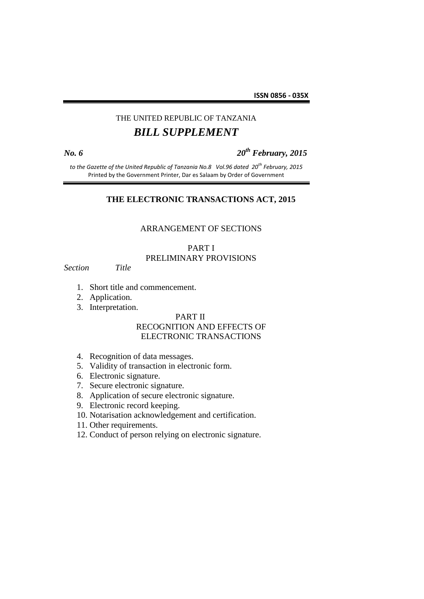# THE UNITED REPUBLIC OF TANZANIA *BILL SUPPLEMENT*

*No. 6 20th February, 2015*

*to the Gazette of the United Republic of Tanzania No.8 Vol.96 dated 20th February, 2015* Printed by the Government Printer, Dar es Salaam by Order of Government

# **THE ELECTRONIC TRANSACTIONS ACT, 2015**

#### ARRANGEMENT OF SECTIONS

# PART I PRELIMINARY PROVISIONS

*Section Title*

- 1. Short title and commencement.
- 2. Application.
- 3. Interpretation.

#### PART II

#### RECOGNITION AND EFFECTS OF ELECTRONIC TRANSACTIONS

- 4. Recognition of data messages.
- 5. Validity of transaction in electronic form.
- 6. Electronic signature.
- 7. Secure electronic signature.
- 8. Application of secure electronic signature.
- 9. Electronic record keeping.
- 10. Notarisation acknowledgement and certification.
- 11. Other requirements.
- 12. Conduct of person relying on electronic signature.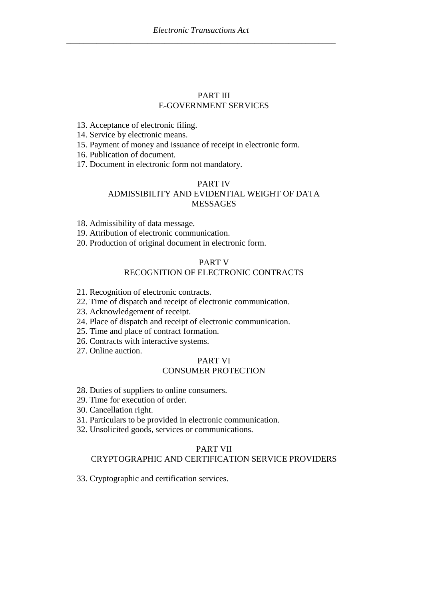## PART III E-GOVERNMENT SERVICES

13. Acceptance of electronic filing.

14. Service by electronic means.

15. Payment of money and issuance of receipt in electronic form.

16. Publication of document*.*

17. Document in electronic form not mandatory.

# PART IV ADMISSIBILITY AND EVIDENTIAL WEIGHT OF DATA MESSAGES

18. Admissibility of data message.

19. Attribution of electronic communication.

20. Production of original document in electronic form.

#### PART V

# RECOGNITION OF ELECTRONIC CONTRACTS

- 21. Recognition of electronic contracts.
- 22. Time of dispatch and receipt of electronic communication.
- 23. Acknowledgement of receipt.
- 24. Place of dispatch and receipt of electronic communication.
- 25. Time and place of contract formation.
- 26. Contracts with interactive systems.
- 27. Online auction.

# PART VI

# CONSUMER PROTECTION

- 28. Duties of suppliers to online consumers.
- 29. Time for execution of order.
- 30. Cancellation right.
- 31. Particulars to be provided in electronic communication.
- 32. Unsolicited goods, services or communications.

#### PART VII

#### CRYPTOGRAPHIC AND CERTIFICATION SERVICE PROVIDERS

33. Cryptographic and certification services.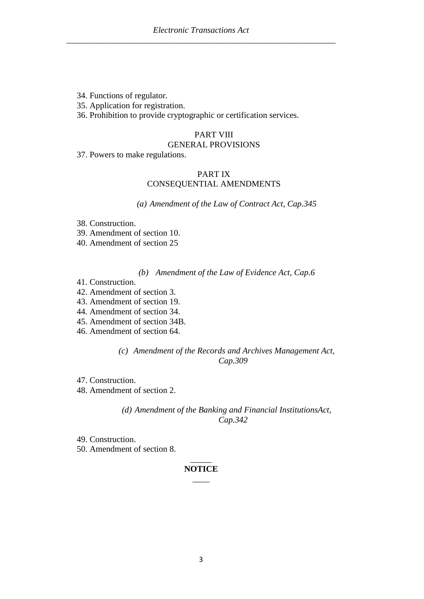34. Functions of regulator.

35. Application for registration.

36. Prohibition to provide cryptographic or certification services.

# PART VIII

# GENERAL PROVISIONS

37. Powers to make regulations.

#### PART IX CONSEQUENTIAL AMENDMENTS

*(a) Amendment of the Law of Contract Act, Cap.345*

- 38. Construction.
- 39. Amendment of section 10.
- 40. Amendment of section 25

#### *(b) Amendment of the Law of Evidence Act, Cap.6*

- 41. Construction.
- 42. Amendment of section 3.
- 43. Amendment of section 19.
- 44. Amendment of section 34.
- 45. Amendment of section 34B.
- 46. Amendment of section 64.

*(c) Amendment of the Records and Archives Management Act, Cap.309*

- 47. Construction.
- 48. Amendment of section 2.

#### *(d) Amendment of the Banking and Financial InstitutionsAct, Cap.342*

- 49. Construction.
- 50. Amendment of section 8.

### $\overline{\phantom{a}}$ **NOTICE**  $\overline{\phantom{a}}$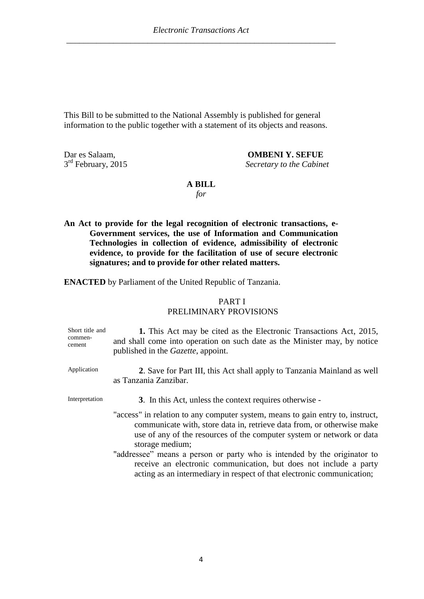This Bill to be submitted to the National Assembly is published for general information to the public together with a statement of its objects and reasons.

 $3<sup>rd</sup>$  February, 2015

Dar es Salaam, **OMBENI Y. SEFUE Secretary to the Cabinet** 

#### **A BILL**

*for*

**An Act to provide for the legal recognition of electronic transactions, e-Government services, the use of Information and Communication Technologies in collection of evidence, admissibility of electronic evidence, to provide for the facilitation of use of secure electronic signatures; and to provide for other related matters.**

**ENACTED** by Parliament of the United Republic of Tanzania.

### PART I PRELIMINARY PROVISIONS

| Short title and<br>commen-<br>cement | 1. This Act may be cited as the Electronic Transactions Act, 2015,<br>and shall come into operation on such date as the Minister may, by notice<br>published in the <i>Gazette</i> , appoint.                                                                                                                                                                                                                                                                                   |
|--------------------------------------|---------------------------------------------------------------------------------------------------------------------------------------------------------------------------------------------------------------------------------------------------------------------------------------------------------------------------------------------------------------------------------------------------------------------------------------------------------------------------------|
| Application                          | 2. Save for Part III, this Act shall apply to Tanzania Mainland as well<br>as Tanzania Zanzibar.                                                                                                                                                                                                                                                                                                                                                                                |
| Interpretation                       | 3. In this Act, unless the context requires otherwise -                                                                                                                                                                                                                                                                                                                                                                                                                         |
|                                      | "access" in relation to any computer system, means to gain entry to, instruct,<br>communicate with, store data in, retrieve data from, or otherwise make<br>use of any of the resources of the computer system or network or data<br>storage medium;<br>"addressee" means a person or party who is intended by the originator to<br>receive an electronic communication, but does not include a party<br>acting as an intermediary in respect of that electronic communication; |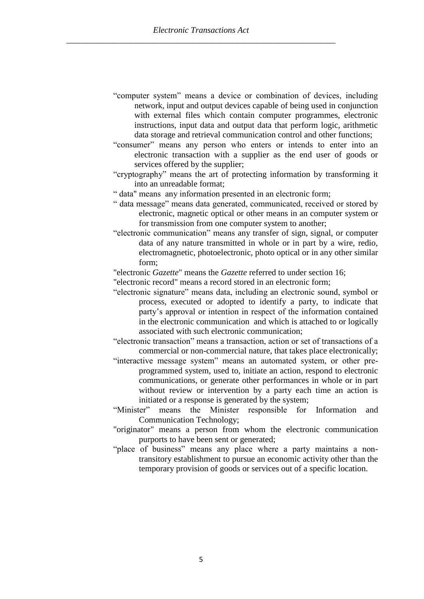- "computer system" means a device or combination of devices, including network, input and output devices capable of being used in conjunction with external files which contain computer programmes, electronic instructions, input data and output data that perform logic, arithmetic data storage and retrieval communication control and other functions;
- "consumer" means any person who enters or intends to enter into an electronic transaction with a supplier as the end user of goods or services offered by the supplier;
- "cryptography" means the art of protecting information by transforming it into an unreadable format;
- " data" means any information presented in an electronic form;
- " data message" means data generated, communicated, received or stored by electronic, magnetic optical or other means in an computer system or for transmission from one computer system to another;
- "electronic communication" means any transfer of sign, signal, or computer data of any nature transmitted in whole or in part by a wire, redio, electromagnetic, photoelectronic, photo optical or in any other similar form;
- "electronic *Gazette*" means the *Gazette* referred to under section 16;
- "electronic record" means a record stored in an electronic form;
- "electronic signature" means data, including an electronic sound, symbol or process, executed or adopted to identify a party, to indicate that party's approval or intention in respect of the information contained in the electronic communication and which is attached to or logically associated with such electronic communication;

"electronic transaction" means a transaction, action or set of transactions of a commercial or non-commercial nature, that takes place electronically;

- "interactive message system" means an automated system, or other preprogrammed system, used to, initiate an action, respond to electronic communications, or generate other performances in whole or in part without review or intervention by a party each time an action is initiated or a response is generated by the system;
- "Minister" means the Minister responsible for Information and Communication Technology;
- "originator" means a person from whom the electronic communication purports to have been sent or generated;
- "place of business" means any place where a party maintains a nontransitory establishment to pursue an economic activity other than the temporary provision of goods or services out of a specific location.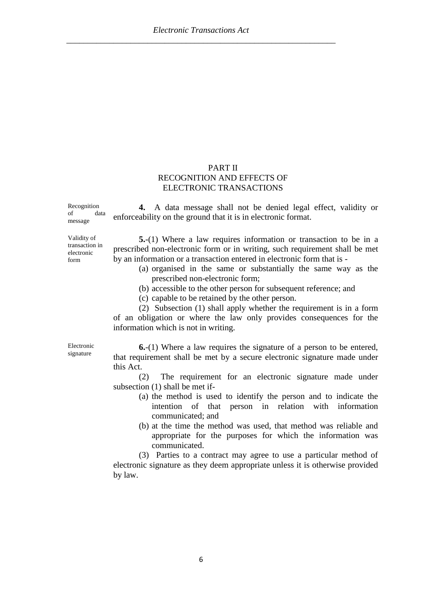## PART II RECOGNITION AND EFFECTS OF ELECTRONIC TRANSACTIONS

Recognition of data message

**4.** A data message shall not be denied legal effect, validity or enforceability on the ground that it is in electronic format.

Validity of transaction in electronic form

**5.**-(1) Where a law requires information or transaction to be in a prescribed non-electronic form or in writing, such requirement shall be met by an information or a transaction entered in electronic form that is -

- (a) organised in the same or substantially the same way as the prescribed non-electronic form;
- (b) accessible to the other person for subsequent reference; and
- (c) capable to be retained by the other person.

(2) Subsection (1) shall apply whether the requirement is in a form of an obligation or where the law only provides consequences for the information which is not in writing.

Electronic signature

**6.**-(1) Where a law requires the signature of a person to be entered, that requirement shall be met by a secure electronic signature made under this Act.

(2) The requirement for an electronic signature made under subsection (1) shall be met if-

- (a) the method is used to identify the person and to indicate the intention of that person in relation with information communicated; and
- (b) at the time the method was used, that method was reliable and appropriate for the purposes for which the information was communicated.

(3) Parties to a contract may agree to use a particular method of electronic signature as they deem appropriate unless it is otherwise provided by law.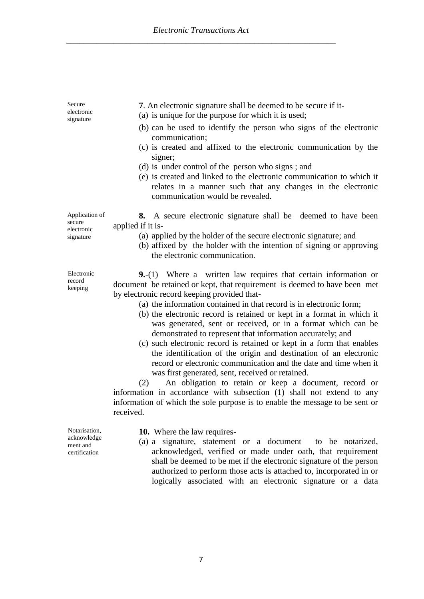Secure electronic signature **7**. An electronic signature shall be deemed to be secure if it- (a) is unique for the purpose for which it is used; (b) can be used to identify the person who signs of the electronic communication; (c) is created and affixed to the electronic communication by the signer; (d) is under control of the person who signs ; and (e) is created and linked to the electronic communication to which it relates in a manner such that any changes in the electronic communication would be revealed. Application of secure electronic signature **8.** A secure electronic signature shall be deemed to have been applied if it is- (a) applied by the holder of the secure electronic signature; and (b) affixed by the holder with the intention of signing or approving the electronic communication. Electronic record keeping **9.**-(1) Where a written law requires that certain information or document be retained or kept, that requirement is deemed to have been met by electronic record keeping provided that- (a) the information contained in that record is in electronic form; (b) the electronic record is retained or kept in a format in which it was generated, sent or received, or in a format which can be demonstrated to represent that information accurately; and

(c) such electronic record is retained or kept in a form that enables the identification of the origin and destination of an electronic record or electronic communication and the date and time when it was first generated, sent, received or retained.

(2) An obligation to retain or keep a document, record or information in accordance with subsection (1) shall not extend to any information of which the sole purpose is to enable the message to be sent or received.

Notarisation, acknowledge ment and certification

**10.** Where the law requires-

(a) a signature, statement or a document to be notarized, acknowledged, verified or made under oath, that requirement shall be deemed to be met if the electronic signature of the person authorized to perform those acts is attached to, incorporated in or logically associated with an electronic signature or a data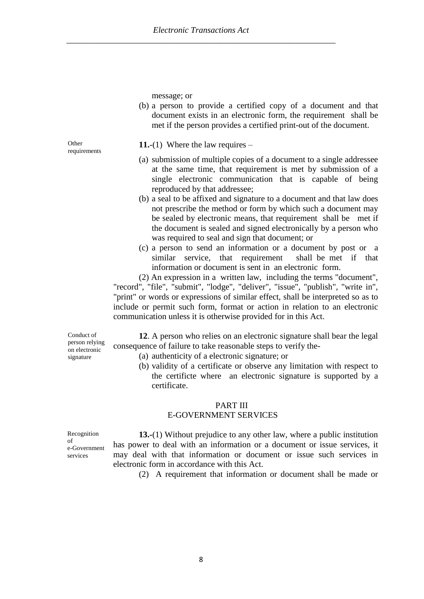**Other** requirements

**11.**-(1) Where the law requires –

message; or

(a) submission of multiple copies of a document to a single addressee at the same time, that requirement is met by submission of a single electronic communication that is capable of being reproduced by that addressee;

(b) a person to provide a certified copy of a document and that document exists in an electronic form, the requirement shall be met if the person provides a certified print-out of the document.

- (b) a seal to be affixed and signature to a document and that law does not prescribe the method or form by which such a document may be sealed by electronic means, that requirement shall be met if the document is sealed and signed electronically by a person who was required to seal and sign that document; or
- (c) a person to send an information or a document by post or a similar service, that requirement shall be met if that information or document is sent in an electronic form.

(2) An expression in a written law, including the terms "document", "record", "file", "submit", "lodge", "deliver", "issue", "publish", "write in", "print" or words or expressions of similar effect, shall be interpreted so as to include or permit such form, format or action in relation to an electronic communication unless it is otherwise provided for in this Act.

Conduct of person relying on electronic signature

**12**. A person who relies on an electronic signature shall bear the legal consequence of failure to take reasonable steps to verify the-

- (a) authenticity of a electronic signature; or
- (b) validity of a certificate or observe any limitation with respect to the certificte where an electronic signature is supported by a certificate.

#### PART III

#### E-GOVERNMENT SERVICES

Recognition of e-Government services

**13.-**(1) Without prejudice to any other law, where a public institution has power to deal with an information or a document or issue services, it may deal with that information or document or issue such services in electronic form in accordance with this Act.

(2) A requirement that information or document shall be made or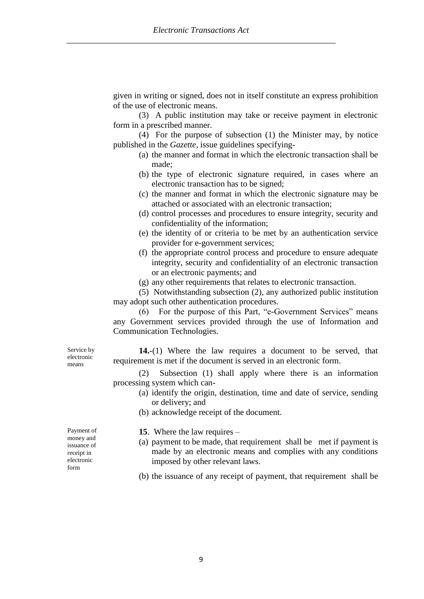given in writing or signed, does not in itself constitute an express prohibition of the use of electronic means.

(3) A public institution may take or receive payment in electronic form in a prescribed manner.

(4) For the purpose of subsection (1) the Minister may, by notice published in the *Gazette,* issue guidelines specifying-

- (a) the manner and format in which the electronic transaction shall be made;
- (b) the type of electronic signature required, in cases where an electronic transaction has to be signed;
- (c) the manner and format in which the electronic signature may be attached or associated with an electronic transaction;
- (d) control processes and procedures to ensure integrity, security and confidentiality of the information;
- (e) the identity of or criteria to be met by an authentication service provider for e-government services;
- (f) the appropriate control process and procedure to ensure adequate integrity, security and confidentiality of an electronic transaction or an electronic payments; and
- (g) any other requirements that relates to electronic transaction.

(5) Notwithstanding subsection (2), any authorized public institution may adopt such other authentication procedures.

(6) For the purpose of this Part, "e-Government Services" means any Government services provided through the use of Information and Communication Technologies.

**14.**-(1) Where the law requires a document to be served, that requirement is met if the document is served in an electronic form.

(2) Subsection (1) shall apply where there is an information processing system which can-

- (a) identify the origin, destination, time and date of service, sending or delivery; and
- (b) acknowledge receipt of the document.

Payment of money and issuance of receipt in electronic form

Service by electronic means

- **15**. Where the law requires –
- (a) payment to be made, that requirement shall be met if payment is made by an electronic means and complies with any conditions imposed by other relevant laws.
- (b) the issuance of any receipt of payment, that requirement shall be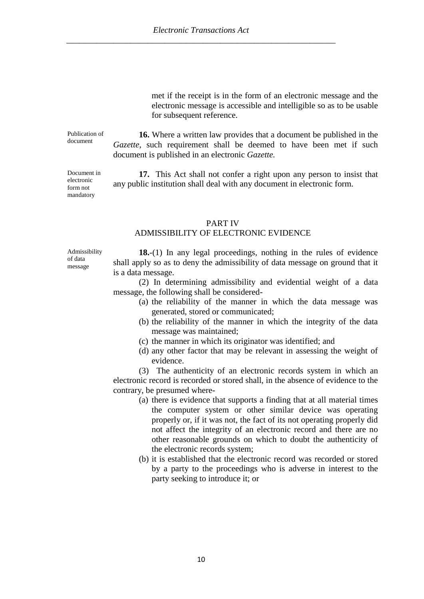met if the receipt is in the form of an electronic message and the electronic message is accessible and intelligible so as to be usable for subsequent reference.

**16.** Where a written law provides that a document be published in the *Gazette*, such requirement shall be deemed to have been met if such document is published in an electronic *Gazette.* 

**17.** This Act shall not confer a right upon any person to insist that any public institution shall deal with any document in electronic form.

#### PART IV

#### ADMISSIBILITY OF ELECTRONIC EVIDENCE

Admissibility of data message

Publication of document

Document in electronic form not mandatory

> **18.**-(1) In any legal proceedings, nothing in the rules of evidence shall apply so as to deny the admissibility of data message on ground that it is a data message.

> (2) In determining admissibility and evidential weight of a data message, the following shall be considered-

- (a) the reliability of the manner in which the data message was generated, stored or communicated;
- (b) the reliability of the manner in which the integrity of the data message was maintained;
- (c) the manner in which its originator was identified; and
- (d) any other factor that may be relevant in assessing the weight of evidence.

(3) The authenticity of an electronic records system in which an electronic record is recorded or stored shall, in the absence of evidence to the contrary, be presumed where-

- (a) there is evidence that supports a finding that at all material times the computer system or other similar device was operating properly or, if it was not, the fact of its not operating properly did not affect the integrity of an electronic record and there are no other reasonable grounds on which to doubt the authenticity of the electronic records system;
- (b) it is established that the electronic record was recorded or stored by a party to the proceedings who is adverse in interest to the party seeking to introduce it; or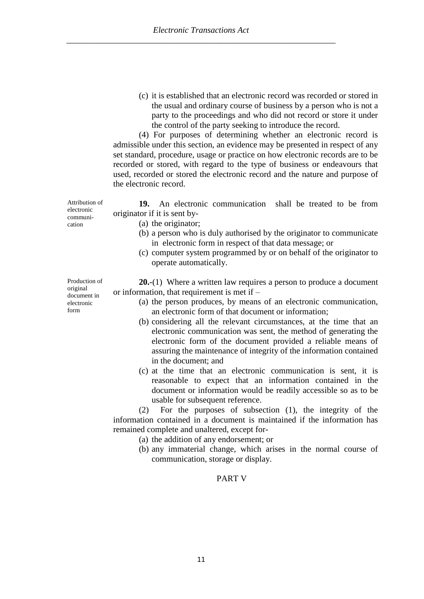(c) it is established that an electronic record was recorded or stored in the usual and ordinary course of business by a person who is not a party to the proceedings and who did not record or store it under the control of the party seeking to introduce the record.

(4) For purposes of determining whether an electronic record is admissible under this section, an evidence may be presented in respect of any set standard, procedure, usage or practice on how electronic records are to be recorded or stored, with regard to the type of business or endeavours that used, recorded or stored the electronic record and the nature and purpose of the electronic record.

**19.** An electronic communication shall be treated to be from originator if it is sent by-

(a) the originator;

- (b) a person who is duly authorised by the originator to communicate in electronic form in respect of that data message; or
- (c) computer system programmed by or on behalf of the originator to operate automatically.

**20.**-(1) Where a written law requires a person to produce a document or information, that requirement is met if –

- (a) the person produces, by means of an electronic communication, an electronic form of that document or information;
- (b) considering all the relevant circumstances, at the time that an electronic communication was sent, the method of generating the electronic form of the document provided a reliable means of assuring the maintenance of integrity of the information contained in the document; and
- (c) at the time that an electronic communication is sent, it is reasonable to expect that an information contained in the document or information would be readily accessible so as to be usable for subsequent reference.

(2) For the purposes of subsection (1), the integrity of the information contained in a document is maintained if the information has remained complete and unaltered, except for-

- (a) the addition of any endorsement; or
- (b) any immaterial change, which arises in the normal course of communication, storage or display.

# PART V

Attribution of electronic communication

Production of original document in electronic form

11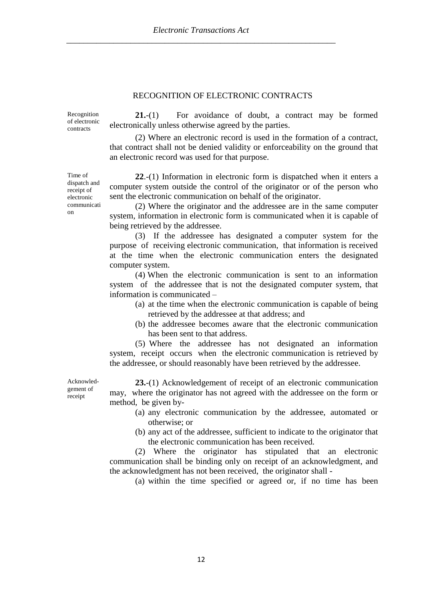#### RECOGNITION OF ELECTRONIC CONTRACTS

Recognition of electronic contracts

**21.**-(1) For avoidance of doubt, a contract may be formed electronically unless otherwise agreed by the parties.

(2) Where an electronic record is used in the formation of a contract, that contract shall not be denied validity or enforceability on the ground that an electronic record was used for that purpose.

**22**.-(1) Information in electronic form is dispatched when it enters a computer system outside the control of the originator or of the person who sent the electronic communication on behalf of the originator.

(2) Where the originator and the addressee are in the same computer system, information in electronic form is communicated when it is capable of being retrieved by the addressee.

(3) If the addressee has designated a computer system for the purpose of receiving electronic communication, that information is received at the time when the electronic communication enters the designated computer system.

(4) When the electronic communication is sent to an information system of the addressee that is not the designated computer system, that information is communicated –

- (a) at the time when the electronic communication is capable of being retrieved by the addressee at that address; and
- (b) the addressee becomes aware that the electronic communication has been sent to that address.

(5) Where the addressee has not designated an information system, receipt occurs when the electronic communication is retrieved by the addressee, or should reasonably have been retrieved by the addressee.

Acknowledgement of receipt

**23.**-(1) Acknowledgement of receipt of an electronic communication may, where the originator has not agreed with the addressee on the form or method, be given by-

- (a) any electronic communication by the addressee, automated or otherwise; or
- (b) any act of the addressee, sufficient to indicate to the originator that the electronic communication has been received.

(2) Where the originator has stipulated that an electronic communication shall be binding only on receipt of an acknowledgment, and the acknowledgment has not been received, the originator shall -

(a) within the time specified or agreed or, if no time has been

Time of dispatch and receipt of electronic communicati on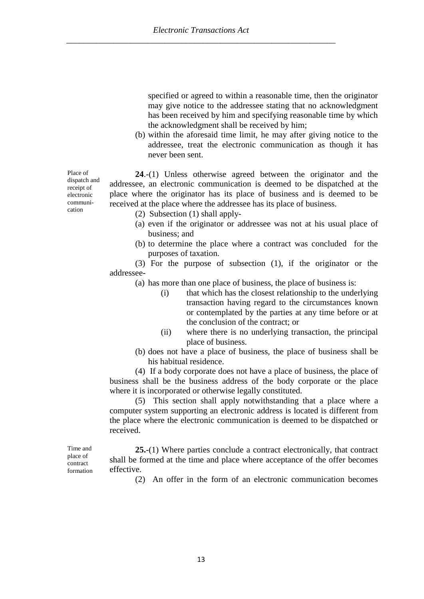specified or agreed to within a reasonable time, then the originator may give notice to the addressee stating that no acknowledgment has been received by him and specifying reasonable time by which the acknowledgment shall be received by him;

(b) within the aforesaid time limit, he may after giving notice to the addressee, treat the electronic communication as though it has never been sent.

**24**.-(1) Unless otherwise agreed between the originator and the addressee, an electronic communication is deemed to be dispatched at the place where the originator has its place of business and is deemed to be received at the place where the addressee has its place of business.

- (2) Subsection (1) shall apply-
- (a) even if the originator or addressee was not at his usual place of business; and
- (b) to determine the place where a contract was concluded for the purposes of taxation.

(3) For the purpose of subsection (1), if the originator or the addressee-

(a) has more than one place of business, the place of business is:

- (i) that which has the closest relationship to the underlying transaction having regard to the circumstances known or contemplated by the parties at any time before or at the conclusion of the contract; or
- (ii) where there is no underlying transaction, the principal place of business.
- (b) does not have a place of business, the place of business shall be his habitual residence.

(4) If a body corporate does not have a place of business, the place of business shall be the business address of the body corporate or the place where it is incorporated or otherwise legally constituted.

(5) This section shall apply notwithstanding that a place where a computer system supporting an electronic address is located is different from the place where the electronic communication is deemed to be dispatched or received.

Time and place of contract formation

**25.**-(1) Where parties conclude a contract electronically, that contract shall be formed at the time and place where acceptance of the offer becomes effective.

(2) An offer in the form of an electronic communication becomes

Place of dispatch and receipt of electronic communication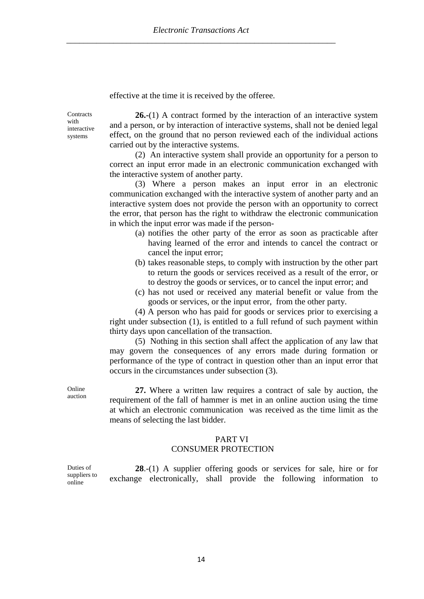effective at the time it is received by the offeree.

**Contracts** with interactive systems

**26.-**(1) A contract formed by the interaction of an interactive system and a person, or by interaction of interactive systems, shall not be denied legal effect, on the ground that no person reviewed each of the individual actions carried out by the interactive systems.

(2) An interactive system shall provide an opportunity for a person to correct an input error made in an electronic communication exchanged with the interactive system of another party.

(3) Where a person makes an input error in an electronic communication exchanged with the interactive system of another party and an interactive system does not provide the person with an opportunity to correct the error, that person has the right to withdraw the electronic communication in which the input error was made if the person-

- (a) notifies the other party of the error as soon as practicable after having learned of the error and intends to cancel the contract or cancel the input error;
- (b) takes reasonable steps, to comply with instruction by the other part to return the goods or services received as a result of the error, or to destroy the goods or services, or to cancel the input error; and
- (c) has not used or received any material benefit or value from the goods or services, or the input error, from the other party.

(4) A person who has paid for goods or services prior to exercising a right under subsection (1), is entitled to a full refund of such payment within thirty days upon cancellation of the transaction.

(5) Nothing in this section shall affect the application of any law that may govern the consequences of any errors made during formation or performance of the type of contract in question other than an input error that occurs in the circumstances under subsection (3).

Online auction

**27.** Where a written law requires a contract of sale by auction, the requirement of the fall of hammer is met in an online auction using the time at which an electronic communication was received as the time limit as the means of selecting the last bidder.

#### PART VI

#### CONSUMER PROTECTION

Duties of suppliers to online

**28**.-(1) A supplier offering goods or services for sale, hire or for exchange electronically, shall provide the following information to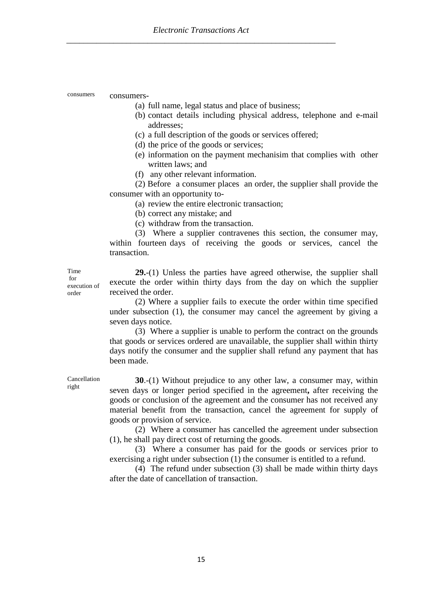consumers consumers-

- (a) full name, legal status and place of business;
- (b) contact details including physical address, telephone and e-mail addresses;
- (c) a full description of the goods or services offered;
- (d) the price of the goods or services;
- (e) information on the payment mechanisim that complies with other written laws; and
- (f) any other relevant information.

(2) Before a consumer places an order, the supplier shall provide the consumer with an opportunity to-

(a) review the entire electronic transaction;

- (b) correct any mistake; and
- (c) withdraw from the transaction.

(3) Where a supplier contravenes this section, the consumer may, within fourteen days of receiving the goods or services, cancel the transaction.

Time for execution of order

**29.**-(1) Unless the parties have agreed otherwise, the supplier shall execute the order within thirty days from the day on which the supplier received the order.

(2) Where a supplier fails to execute the order within time specified under subsection (1), the consumer may cancel the agreement by giving a seven days notice.

(3) Where a supplier is unable to perform the contract on the grounds that goods or services ordered are unavailable, the supplier shall within thirty days notify the consumer and the supplier shall refund any payment that has been made.

**30.**-(1) Without prejudice to any other law, a consumer may, within seven days or longer period specified in the agreement**,** after receiving the goods or conclusion of the agreement and the consumer has not received any material benefit from the transaction, cancel the agreement for supply of goods or provision of service.

(2) Where a consumer has cancelled the agreement under subsection (1), he shall pay direct cost of returning the goods.

(3) Where a consumer has paid for the goods or services prior to exercising a right under subsection (1) the consumer is entitled to a refund.

(4) The refund under subsection (3) shall be made within thirty days after the date of cancellation of transaction.

Cancellation right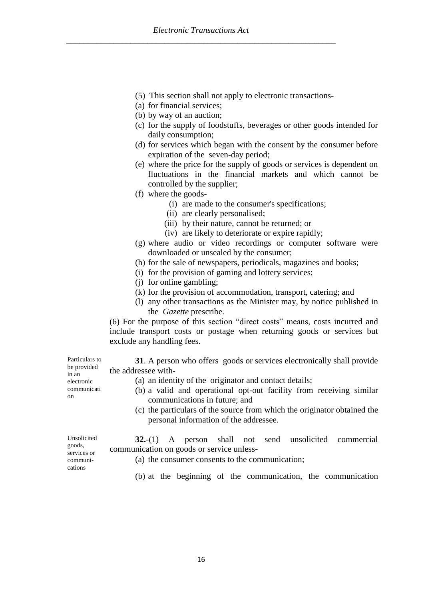- (5) This section shall not apply to electronic transactions-
- (a) for financial services;
- (b) by way of an auction;
- (c) for the supply of foodstuffs, beverages or other goods intended for daily consumption;
- (d) for services which began with the consent by the consumer before expiration of the seven-day period;
- (e) where the price for the supply of goods or services is dependent on fluctuations in the financial markets and which cannot be controlled by the supplier;
- (f) where the goods-
	- (i) are made to the consumer's specifications;
	- (ii) are clearly personalised;
	- (iii) by their nature, cannot be returned; or
	- (iv) are likely to deteriorate or expire rapidly;
- (g) where audio or video recordings or computer software were downloaded or unsealed by the consumer;
- (h) for the sale of newspapers, periodicals, magazines and books;
- (i) for the provision of gaming and lottery services;
- (j) for online gambling;
- (k) for the provision of accommodation, transport, catering; and
- (l) any other transactions as the Minister may, by notice published in the *Gazette* prescribe.

(6) For the purpose of this section "direct costs" means, costs incurred and include transport costs or postage when returning goods or services but exclude any handling fees.

**31**. A person who offers goods or services electronically shall provide the addressee with-

- (a) an identity of the originator and contact details;
- (b) a valid and operational opt-out facility from receiving similar communications in future; and
- (c) the particulars of the source from which the originator obtained the personal information of the addressee.

**32.**-(1) A person shall not send unsolicited commercial communication on goods or service unless-

- (a) the consumer consents to the communication;
- (b) at the beginning of the communication, the communication

Particulars to be provided in an electronic communicati on

Unsolicited goods, services or communications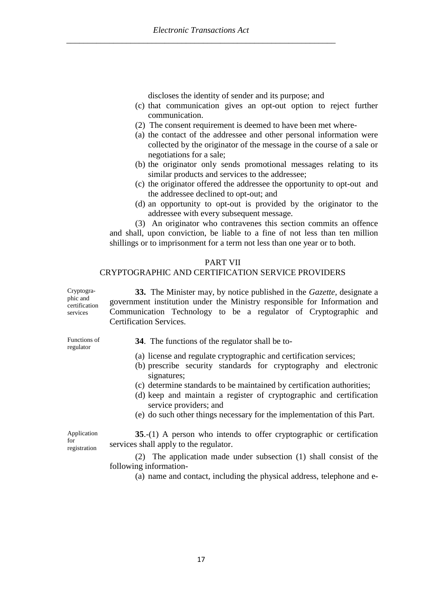discloses the identity of sender and its purpose; and

- (c) that communication gives an opt-out option to reject further communication.
- (2) The consent requirement is deemed to have been met where-
- (a) the contact of the addressee and other personal information were collected by the originator of the message in the course of a sale or negotiations for a sale;
- (b) the originator only sends promotional messages relating to its similar products and services to the addressee;
- (c) the originator offered the addressee the opportunity to opt-out and the addressee declined to opt-out; and
- (d) an opportunity to opt-out is provided by the originator to the addressee with every subsequent message.

(3) An originator who contravenes this section commits an offence and shall, upon conviction, be liable to a fine of not less than ten million shillings or to imprisonment for a term not less than one year or to both.

#### PART VII

#### CRYPTOGRAPHIC AND CERTIFICATION SERVICE PROVIDERS

Cryptographic and certification services **33.** The Minister may, by notice published in the *Gazette*, designate a government institution under the Ministry responsible for Information and Communication Technology to be a regulator of Cryptographic and Certification Services.

Functions of regulator

- **34**. The functions of the regulator shall be to-
- (a) license and regulate cryptographic and certification services;
- (b) prescribe security standards for cryptography and electronic signatures;
- (c) determine standards to be maintained by certification authorities;
- (d) keep and maintain a register of cryptographic and certification service providers; and
- (e) do such other things necessary for the implementation of this Part.

Application for registration

**35**.-(1) A person who intends to offer cryptographic or certification services shall apply to the regulator.

(2) The application made under subsection (1) shall consist of the following information-

(a) name and contact, including the physical address, telephone and e-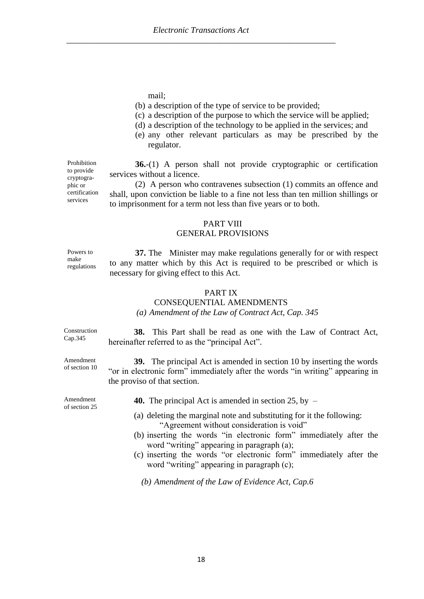mail;

- (b) a description of the type of service to be provided;
- (c) a description of the purpose to which the service will be applied;
- (d) a description of the technology to be applied in the services; and
- (e) any other relevant particulars as may be prescribed by the regulator.

**36.**-(1) A person shall not provide cryptographic or certification services without a licence.

(2) A person who contravenes subsection (1) commits an offence and shall, upon conviction be liable to a fine not less than ten million shillings or to imprisonment for a term not less than five years or to both.

#### PART VIII GENERAL PROVISIONS

**37.** The Minister may make regulations generally for or with respect to any matter which by this Act is required to be prescribed or which is necessary for giving effect to this Act.

### PART IX

#### CONSEQUENTIAL AMENDMENTS

#### *(a) Amendment of the Law of Contract Act, Cap. 345*

**38.** This Part shall be read as one with the Law of Contract Act, hereinafter referred to as the "principal Act".

**39.** The principal Act is amended in section 10 by inserting the words "or in electronic form" immediately after the words "in writing" appearing in the proviso of that section.

**40.** The principal Act is amended in section 25, by –

- (a) deleting the marginal note and substituting for it the following: "Agreement without consideration is void"
- (b) inserting the words "in electronic form" immediately after the word "writing" appearing in paragraph (a);
- (c) inserting the words "or electronic form" immediately after the word "writing" appearing in paragraph (c);

*(b) Amendment of the Law of Evidence Act, Cap.6*

Prohibition to provide cryptographic or certification services

Powers to make regulations

Amendment of section 25

Construction Cap.345

Amendment of section 10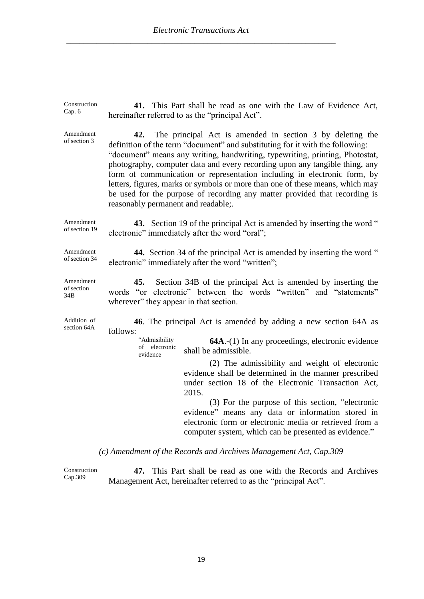| Construction<br>Cap. 6         | 41. This Part shall be read as one with the Law of Evidence Act,<br>hereinafter referred to as the "principal Act".                                                                                                                                                                                                                                                                                                                                                                                                                                                                                |
|--------------------------------|----------------------------------------------------------------------------------------------------------------------------------------------------------------------------------------------------------------------------------------------------------------------------------------------------------------------------------------------------------------------------------------------------------------------------------------------------------------------------------------------------------------------------------------------------------------------------------------------------|
| Amendment<br>of section 3      | The principal Act is amended in section 3 by deleting the<br>42.<br>definition of the term "document" and substituting for it with the following:<br>"document" means any writing, handwriting, typewriting, printing, Photostat,<br>photography, computer data and every recording upon any tangible thing, any<br>form of communication or representation including in electronic form, by<br>letters, figures, marks or symbols or more than one of these means, which may<br>be used for the purpose of recording any matter provided that recording is<br>reasonably permanent and readable;. |
| Amendment<br>of section 19     | <b>43.</b> Section 19 of the principal Act is amended by inserting the word "<br>electronic" immediately after the word "oral";                                                                                                                                                                                                                                                                                                                                                                                                                                                                    |
| Amendment<br>of section 34     | 44. Section 34 of the principal Act is amended by inserting the word "<br>electronic" immediately after the word "written";                                                                                                                                                                                                                                                                                                                                                                                                                                                                        |
| Amendment<br>of section<br>34B | 45.<br>Section 34B of the principal Act is amended by inserting the<br>words "or electronic" between the words "written" and "statements"<br>wherever" they appear in that section.                                                                                                                                                                                                                                                                                                                                                                                                                |
| Addition of<br>section 64A     | 46. The principal Act is amended by adding a new section 64A as<br>follows:                                                                                                                                                                                                                                                                                                                                                                                                                                                                                                                        |
|                                | "Admisibility<br><b>64A.</b> -(1) In any proceedings, electronic evidence<br>of electronic<br>shall be admissible.<br>evidence                                                                                                                                                                                                                                                                                                                                                                                                                                                                     |
|                                | (2) The admissibility and weight of electronic<br>evidence shall be determined in the manner prescribed<br>under section 18 of the Electronic Transaction Act,<br>2015.                                                                                                                                                                                                                                                                                                                                                                                                                            |
|                                | (3) For the purpose of this section, "electronic<br>evidence" means any data or information stored in<br>electronic form or electronic media or retrieved from a<br>computer system, which can be presented as evidence."                                                                                                                                                                                                                                                                                                                                                                          |
|                                | (c) Amendment of the Records and Archives Management Act, Cap.309                                                                                                                                                                                                                                                                                                                                                                                                                                                                                                                                  |

Construction Cap.309 **47.** This Part shall be read as one with the Records and Archives Management Act, hereinafter referred to as the "principal Act".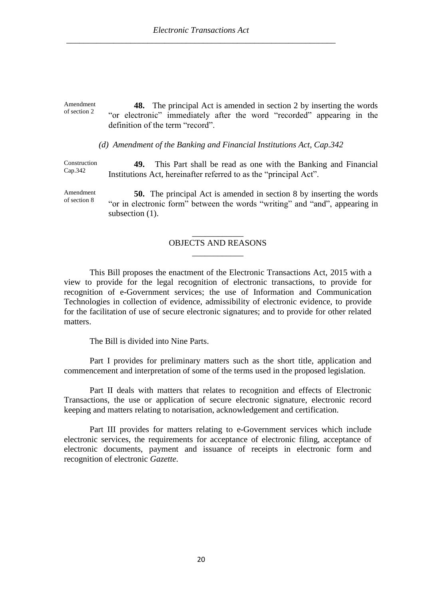Amendment of section 2 **48.** The principal Act is amended in section 2 by inserting the words "or electronic" immediately after the word "recorded" appearing in the definition of the term "record".

*(d) Amendment of the Banking and Financial Institutions Act, Cap.342*

Construction Cap.342 **49.** This Part shall be read as one with the Banking and Financial Institutions Act, hereinafter referred to as the "principal Act".

Amendment of section 8 **50.** The principal Act is amended in section 8 by inserting the words "or in electronic form" between the words "writing" and "and", appearing in subsection  $(1)$ .

### \_\_\_\_\_\_\_\_\_\_\_\_ OBJECTS AND REASONS \_\_\_\_\_\_\_\_\_\_\_\_

This Bill proposes the enactment of the Electronic Transactions Act, 2015 with a view to provide for the legal recognition of electronic transactions, to provide for recognition of e-Government services; the use of Information and Communication Technologies in collection of evidence, admissibility of electronic evidence, to provide for the facilitation of use of secure electronic signatures; and to provide for other related matters.

The Bill is divided into Nine Parts.

Part I provides for preliminary matters such as the short title, application and commencement and interpretation of some of the terms used in the proposed legislation.

Part II deals with matters that relates to recognition and effects of Electronic Transactions, the use or application of secure electronic signature, electronic record keeping and matters relating to notarisation, acknowledgement and certification.

Part III provides for matters relating to e-Government services which include electronic services, the requirements for acceptance of electronic filing, acceptance of electronic documents, payment and issuance of receipts in electronic form and recognition of electronic *Gazette*.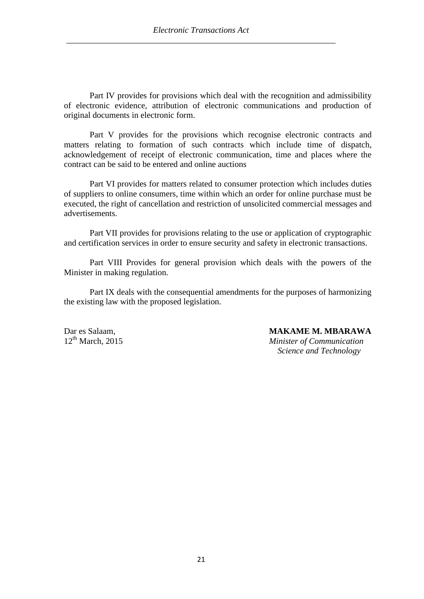Part IV provides for provisions which deal with the recognition and admissibility of electronic evidence, attribution of electronic communications and production of original documents in electronic form.

Part V provides for the provisions which recognise electronic contracts and matters relating to formation of such contracts which include time of dispatch, acknowledgement of receipt of electronic communication, time and places where the contract can be said to be entered and online auctions

Part VI provides for matters related to consumer protection which includes duties of suppliers to online consumers, time within which an order for online purchase must be executed, the right of cancellation and restriction of unsolicited commercial messages and advertisements.

Part VII provides for provisions relating to the use or application of cryptographic and certification services in order to ensure security and safety in electronic transactions.

Part VIII Provides for general provision which deals with the powers of the Minister in making regulation.

Part IX deals with the consequential amendments for the purposes of harmonizing the existing law with the proposed legislation.

Dar es Salaam, **MAKAME M. MBARAWA**<br>12<sup>th</sup> March. 2015 *Minister of Communication Minister of Communication Science and Technology*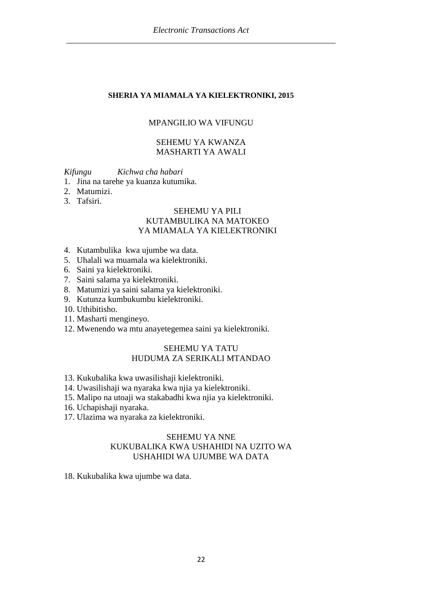#### **SHERIA YA MIAMALA YA KIELEKTRONIKI, 2015**

#### MPANGILIO WA VIFUNGU

#### SEHEMU YA KWANZA MASHARTI YA AWALI

*Kifungu Kichwa cha habari*

- 1. Jina na tarehe ya kuanza kutumika.
- 2. Matumizi.
- 3. Tafsiri.

## SEHEMU YA PILI KUTAMBULIKA NA MATOKEO YA MIAMALA YA KIELEKTRONIKI

- 4. Kutambulika kwa ujumbe wa data.
- 5. Uhalali wa muamala wa kielektroniki.
- 6. Saini ya kielektroniki.
- 7. Saini salama ya kielektroniki.
- 8. Matumizi ya saini salama ya kielektroniki.
- 9. Kutunza kumbukumbu kielektroniki.
- 10. Uthibitisho.
- 11. Masharti mengineyo.
- 12. Mwenendo wa mtu anayetegemea saini ya kielektroniki.

## SEHEMU YA TATU HUDUMA ZA SERIKALI MTANDAO

- 13. Kukubalika kwa uwasilishaji kielektroniki.
- 14. Uwasilishaji wa nyaraka kwa njia ya kielektroniki.
- 15. Malipo na utoaji wa stakabadhi kwa njia ya kielektroniki.
- 16. Uchapishaji nyaraka.
- 17. Ulazima wa nyaraka za kielektroniki.

# SEHEMU YA NNE KUKUBALIKA KWA USHAHIDI NA UZITO WA USHAHIDI WA UJUMBE WA DATA

18. Kukubalika kwa ujumbe wa data.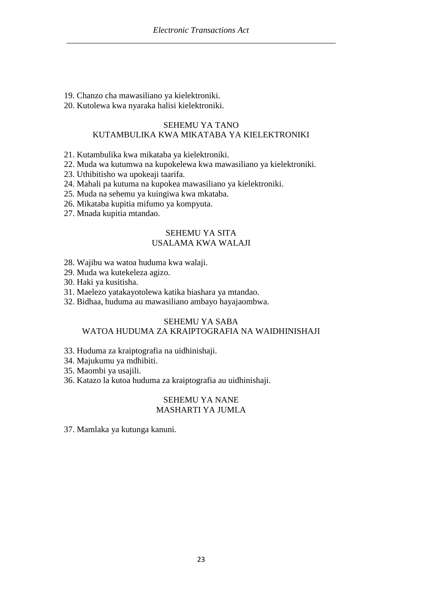19. Chanzo cha mawasiliano ya kielektroniki.

20. Kutolewa kwa nyaraka halisi kielektroniki.

#### SEHEMU YA TANO KUTAMBULIKA KWA MIKATABA YA KIELEKTRONIKI

- 21. Kutambulika kwa mikataba ya kielektroniki.
- 22. Muda wa kutumwa na kupokelewa kwa mawasiliano ya kielektroniki.
- 23. Uthibitisho wa upokeaji taarifa.
- 24. Mahali pa kutuma na kupokea mawasiliano ya kielektroniki.
- 25. Muda na sehemu ya kuingiwa kwa mkataba.
- 26. Mikataba kupitia mifumo ya kompyuta.
- 27. Mnada kupitia mtandao.

# SEHEMU YA SITA USALAMA KWA WALAJI

- 28. Wajibu wa watoa huduma kwa walaji.
- 29. Muda wa kutekeleza agizo.
- 30. Haki ya kusitisha.
- 31. Maelezo yatakayotolewa katika biashara ya mtandao.
- 32. Bidhaa, huduma au mawasiliano ambayo hayajaombwa.

#### SEHEMU YA SABA WATOA HUDUMA ZA KRAIPTOGRAFIA NA WAIDHINISHAJI

- 33. Huduma za kraiptografia na uidhinishaji.
- 34. Majukumu ya mdhibiti.
- 35. Maombi ya usajili.
- 36. Katazo la kutoa huduma za kraiptografia au uidhinishaji.

# SEHEMU YA NANE MASHARTI YA JUMLA

37. Mamlaka ya kutunga kanuni.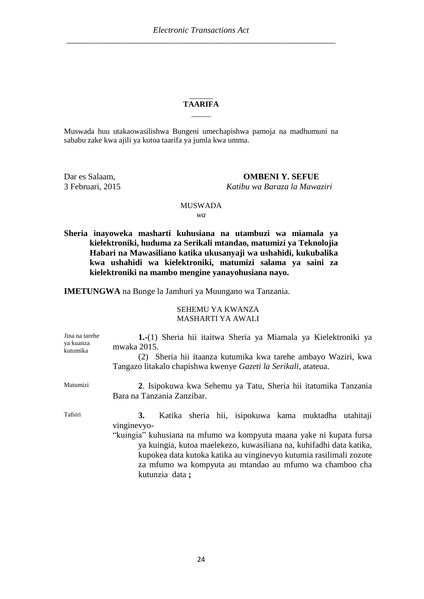#### $\overline{\phantom{a}}$ **TAARIFA**  $\overline{\phantom{a}}$

Muswada huu utakaowasilishwa Bungeni umechapishwa pamoja na madhumuni na sababu zake kwa ajili ya kutoa taarifa ya jumla kwa umma.

Dar es Salaam, **OMBENI Y. SEFUE** 3 Februari, 2015 *Katibu wa Baraza la Mawaziri*

#### MUSWADA *wa*

**Sheria inayoweka masharti kuhusiana na utambuzi wa miamala ya kielektroniki, huduma za Serikali mtandao, matumizi ya Teknolojia Habari na Mawasiliano katika ukusanyaji wa ushahidi, kukubalika kwa ushahidi wa kielektroniki, matumizi salama ya saini za kielektroniki na mambo mengine yanayohusiana nayo.**

**IMETUNGWA** na Bunge la Jamhuri ya Muungano wa Tanzania.

#### SEHEMU YA KWANZA MASHARTI YA AWALI

| Jina na tarehe<br>ya kuanza<br>kutumika | 1.-(1) Sheria hii itaitwa Sheria ya Miamala ya Kielektroniki ya<br>mwaka 2015.<br>(2) Sheria hii itaanza kutumika kwa tarehe ambayo Waziri, kwa<br>Tangazo litakalo chapishwa kwenye <i>Gazeti la Serikali</i> , atateua.                                                                                                                                                  |
|-----------------------------------------|----------------------------------------------------------------------------------------------------------------------------------------------------------------------------------------------------------------------------------------------------------------------------------------------------------------------------------------------------------------------------|
| Matumizi                                | 2. Isipokuwa kwa Sehemu ya Tatu, Sheria hii itatumika Tanzania<br>Bara na Tanzania Zanzibar.                                                                                                                                                                                                                                                                               |
| Tafsiri                                 | Katika sheria hii, isipokuwa kama muktadha utahitaji<br>3.<br>vinginevyo-<br>"kuingia" kuhusiana na mfumo wa kompyuta maana yake ni kupata fursa<br>ya kuingia, kutoa maelekezo, kuwasiliana na, kuhifadhi data katika,<br>kupokea data kutoka katika au vinginevyo kutumia rasilimali zozote<br>za mfumo wa kompyuta au mtandao au mfumo wa chamboo cha<br>kutunzia data; |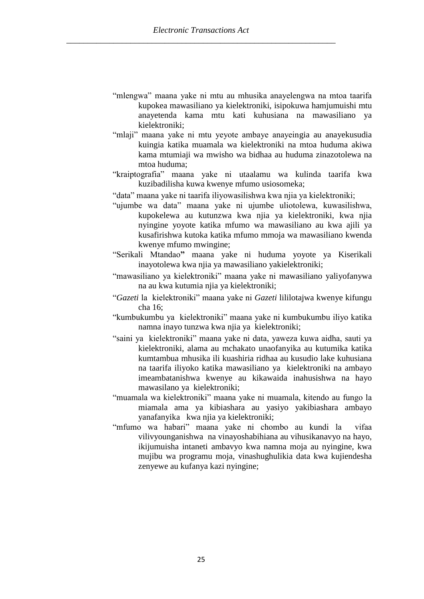- "mlengwa" maana yake ni mtu au mhusika anayelengwa na mtoa taarifa kupokea mawasiliano ya kielektroniki, isipokuwa hamjumuishi mtu anayetenda kama mtu kati kuhusiana na mawasiliano ya kielektroniki;
- "mlaji" maana yake ni mtu yeyote ambaye anayeingia au anayekusudia kuingia katika muamala wa kielektroniki na mtoa huduma akiwa kama mtumiaji wa mwisho wa bidhaa au huduma zinazotolewa na mtoa huduma;
- "kraiptografia" maana yake ni utaalamu wa kulinda taarifa kwa kuzibadilisha kuwa kwenye mfumo usiosomeka;
- "data" maana yake ni taarifa iliyowasilishwa kwa njia ya kielektroniki;
- "ujumbe wa data" maana yake ni ujumbe uliotolewa, kuwasilishwa, kupokelewa au kutunzwa kwa njia ya kielektroniki, kwa njia nyingine yoyote katika mfumo wa mawasiliano au kwa ajili ya kusafirishwa kutoka katika mfumo mmoja wa mawasiliano kwenda kwenye mfumo mwingine;
- "Serikali Mtandao**"** maana yake ni huduma yoyote ya Kiserikali inayotolewa kwa njia ya mawasiliano yakielektroniki;
- "mawasiliano ya kielektroniki" maana yake ni mawasiliano yaliyofanywa na au kwa kutumia njia ya kielektroniki;
- "*Gazeti* la kielektroniki" maana yake ni *Gazeti* lililotajwa kwenye kifungu cha 16;
- "kumbukumbu ya kielektroniki" maana yake ni kumbukumbu iliyo katika namna inayo tunzwa kwa njia ya kielektroniki;
- "saini ya kielektroniki" maana yake ni data, yaweza kuwa aidha, sauti ya kielektroniki, alama au mchakato unaofanyika au kutumika katika kumtambua mhusika ili kuashiria ridhaa au kusudio lake kuhusiana na taarifa iliyoko katika mawasiliano ya kielektroniki na ambayo imeambatanishwa kwenye au kikawaida inahusishwa na hayo mawasilano ya kielektroniki;
- "muamala wa kielektroniki" maana yake ni muamala, kitendo au fungo la miamala ama ya kibiashara au yasiyo yakibiashara ambayo yanafanyika kwa njia ya kielektroniki;
- "mfumo wa habari" maana yake ni chombo au kundi la vifaa vilivyounganishwa na vinayoshabihiana au vihusikanavyo na hayo, ikijumuisha intaneti ambavyo kwa namna moja au nyingine, kwa mujibu wa programu moja, vinashughulikia data kwa kujiendesha zenyewe au kufanya kazi nyingine;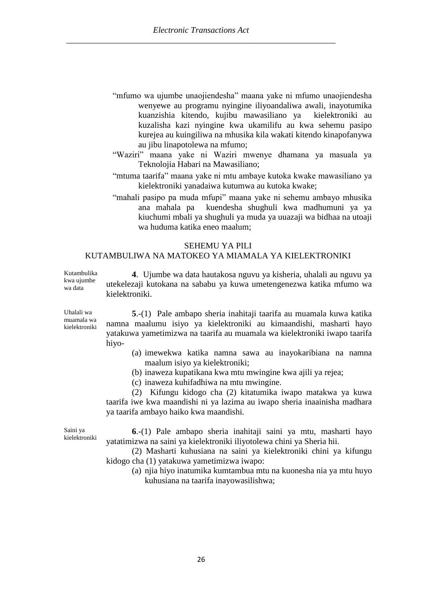- "mfumo wa ujumbe unaojiendesha" maana yake ni mfumo unaojiendesha wenyewe au programu nyingine iliyoandaliwa awali, inayotumika kuanzishia kitendo, kujibu mawasiliano ya kielektroniki au kuzalisha kazi nyingine kwa ukamilifu au kwa sehemu pasipo kurejea au kuingiliwa na mhusika kila wakati kitendo kinapofanywa au jibu linapotolewa na mfumo;
- "Waziri" maana yake ni Waziri mwenye dhamana ya masuala ya Teknolojia Habari na Mawasiliano;
- "mtuma taarifa" maana yake ni mtu ambaye kutoka kwake mawasiliano ya kielektroniki yanadaiwa kutumwa au kutoka kwake;
- "mahali pasipo pa muda mfupi" maana yake ni sehemu ambayo mhusika ana mahala pa kuendesha shughuli kwa madhumuni ya ya kiuchumi mbali ya shughuli ya muda ya uuazaji wa bidhaa na utoaji wa huduma katika eneo maalum;

#### SEHEMU YA PILI

# KUTAMBULIWA NA MATOKEO YA MIAMALA YA KIELEKTRONIKI

Kutambulika kwa ujumbe wa data **4**. Ujumbe wa data hautakosa nguvu ya kisheria, uhalali au nguvu ya utekelezaji kutokana na sababu ya kuwa umetengenezwa katika mfumo wa kielektroniki.

Uhalali wa muamala wa kielektroniki

**5**.-(1) Pale ambapo sheria inahitaji taarifa au muamala kuwa katika namna maalumu isiyo ya kielektroniki au kimaandishi, masharti hayo yatakuwa yametimizwa na taarifa au muamala wa kielektroniki iwapo taarifa hiyo-

- (a) imewekwa katika namna sawa au inayokaribiana na namna maalum isiyo ya kielektroniki;
- (b) inaweza kupatikana kwa mtu mwingine kwa ajili ya rejea;
- (c) inaweza kuhifadhiwa na mtu mwingine.

(2) Kifungu kidogo cha (2) kitatumika iwapo matakwa ya kuwa taarifa iwe kwa maandishi ni ya lazima au iwapo sheria inaainisha madhara ya taarifa ambayo haiko kwa maandishi.

Saini ya kielektroniki

**6**.-(1) Pale ambapo sheria inahitaji saini ya mtu, masharti hayo yatatimizwa na saini ya kielektroniki iliyotolewa chini ya Sheria hii.

(2) Masharti kuhusiana na saini ya kielektroniki chini ya kifungu kidogo cha (1) yatakuwa yametimizwa iwapo:

(a) njia hiyo inatumika kumtambua mtu na kuonesha nia ya mtu huyo kuhusiana na taarifa inayowasilishwa;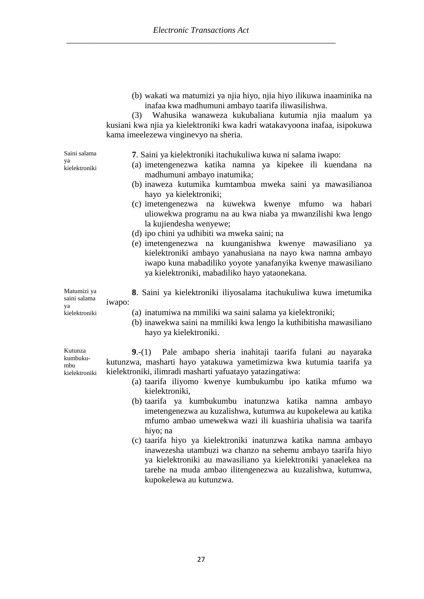(b) wakati wa matumizi ya njia hiyo, njia hiyo ilikuwa inaaminika na inafaa kwa madhumuni ambayo taarifa iliwasilishwa.

(3) Wahusika wanaweza kukubaliana kutumia njia maalum ya kusiani kwa njia ya kielektroniki kwa kadri watakavyoona inafaa, isipokuwa kama imeelezewa vinginevyo na sheria.

Saini salama ya

kielektroniki

**7**. Saini ya kielektroniki itachukuliwa kuwa ni salama iwapo:

- (a) imetengenezwa katika namna ya kipekee ili kuendana na madhumuni ambayo inatumika;
- (b) inaweza kutumika kumtambua mweka saini ya mawasilianoa hayo ya kielektroniki;
- (c) imetengenezwa na kuwekwa kwenye mfumo wa habari uliowekwa programu na au kwa niaba ya mwanzilishi kwa lengo la kujiendesha wenyewe;
- (d) ipo chini ya udhibiti wa mweka saini; na
- (e) imetengenezwa na kuunganishwa kwenye mawasiliano ya kielektroniki ambayo yanahusiana na nayo kwa namna ambayo iwapo kuna mabadiliko yoyote yanafanyika kwenye mawasiliano ya kielektroniki, mabadiliko hayo yataonekana.

Matumizi ya **8**. Saini ya kielektroniki iliyosalama itachukuliwa kuwa imetumika iwapo:

- (a) inatumiwa na mmiliki wa saini salama ya kielektroniki;
- (b) inawekwa saini na mmiliki kwa lengo la kuthibitisha mawasiliano hayo ya kielektroniki.

**9**.-(1) Pale ambapo sheria inahitaji taarifa fulani au nayaraka kutunzwa, masharti hayo yatakuwa yametimizwa kwa kutumia taarifa ya kielektroniki, ilimradi masharti yafuatayo yatazingatiwa:

- (a) taarifa iliyomo kwenye kumbukumbu ipo katika mfumo wa kielektroniki,
- (b) taarifa ya kumbukumbu inatunzwa katika namna ambayo imetengenezwa au kuzalishwa, kutumwa au kupokelewa au katika mfumo ambao umewekwa wazi ili kuashiria uhalisia wa taarifa hiyo; na
- (c) taarifa hiyo ya kielektroniki inatunzwa katika namna ambayo inawezesha utambuzi wa chanzo na sehemu ambayo taarifa hiyo ya kielektroniki au mawasiliano ya kielektroniki yanaelekea na tarehe na muda ambao ilitengenezwa au kuzalishwa, kutumwa, kupokelewa au kutunzwa.

Kutunza kumbuku-

saini salama ya

kielektroniki

mbu kielektroniki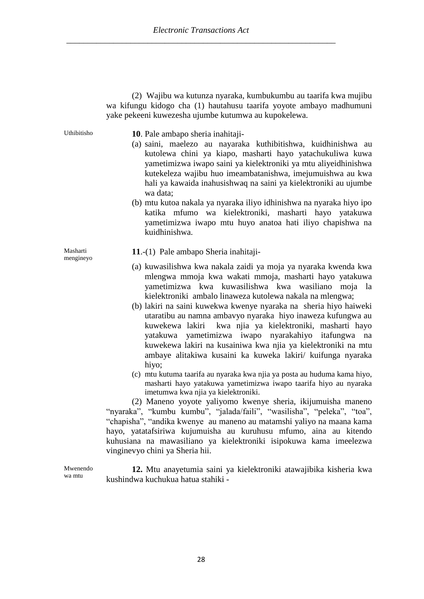|             | (2) Wajibu wa kutunza nyaraka, kumbukumbu au taarifa kwa mujibu<br>wa kifungu kidogo cha (1) hautahusu taarifa yoyote ambayo madhumuni<br>yake pekeeni kuwezesha ujumbe kutumwa au kupokelewa.                                                                                                                                                                                               |
|-------------|----------------------------------------------------------------------------------------------------------------------------------------------------------------------------------------------------------------------------------------------------------------------------------------------------------------------------------------------------------------------------------------------|
| Uthibitisho | 10. Pale ambapo sheria inahitaji-<br>(a) saini, maelezo au nayaraka kuthibitishwa, kuidhinishwa au<br>kutolewa chini ya kiapo, masharti hayo yatachukuliwa kuwa<br>yametimizwa iwapo saini ya kielektroniki ya mtu aliyeidhinishwa<br>kutekeleza wajibu huo imeambatanishwa, imejumuishwa au kwa<br>hali ya kawaida inahusishwaq na saini ya kielektroniki au ujumbe<br>wa data;             |
|             | (b) mtu kutoa nakala ya nyaraka iliyo idhinishwa na nyaraka hiyo ipo<br>katika mfumo wa kielektroniki, masharti hayo yatakuwa<br>yametimizwa iwapo mtu huyo anatoa hati iliyo chapishwa na<br>kuidhinishwa.                                                                                                                                                                                  |
| Masharti    | 11.-(1) Pale ambapo Sheria inahitaji-                                                                                                                                                                                                                                                                                                                                                        |
| mengineyo   | (a) kuwasilishwa kwa nakala zaidi ya moja ya nyaraka kwenda kwa<br>mlengwa mmoja kwa wakati mmoja, masharti hayo yatakuwa<br>yametimizwa kwa kuwasilishwa kwa wasiliano<br>moja la<br>kielektroniki ambalo linaweza kutolewa nakala na mlengwa;                                                                                                                                              |
|             | (b) lakiri na saini kuwekwa kwenye nyaraka na sheria hiyo haiweki<br>utaratibu au namna ambavyo nyaraka hiyo inaweza kufungwa au<br>kuwekewa lakiri kwa njia ya kielektroniki, masharti hayo<br>yatakuwa yametimizwa iwapo nyarakahiyo itafungwa na<br>kuwekewa lakiri na kusainiwa kwa njia ya kielektroniki na mtu<br>ambaye alitakiwa kusaini ka kuweka lakiri/ kuifunga nyaraka<br>hiyo; |
|             | (c) mtu kutuma taarifa au nyaraka kwa njia ya posta au huduma kama hiyo,<br>masharti hayo yatakuwa yametimizwa iwapo taarifa hiyo au nyaraka<br>imetumwa kwa njia ya kielektroniki.                                                                                                                                                                                                          |
|             | (2) Maneno yoyote yaliyomo kwenye sheria, ikijumuisha maneno<br>"nyaraka", "kumbu kumbu", "jalada/faili", "wasilisha", "peleka", "toa",                                                                                                                                                                                                                                                      |
|             | "chapisha", "andika kwenye au maneno au matamshi yaliyo na maana kama                                                                                                                                                                                                                                                                                                                        |
|             | hayo, yatatafsiriwa kujumuisha au kuruhusu mfumo, aina au kitendo                                                                                                                                                                                                                                                                                                                            |
|             | kuhusiana na mawasiliano ya kielektroniki isipokuwa kama imeelezwa                                                                                                                                                                                                                                                                                                                           |

Mwenendo wa mtu

**12.** Mtu anayetumia saini ya kielektroniki atawajibika kisheria kwa kushindwa kuchukua hatua stahiki -

vinginevyo chini ya Sheria hii.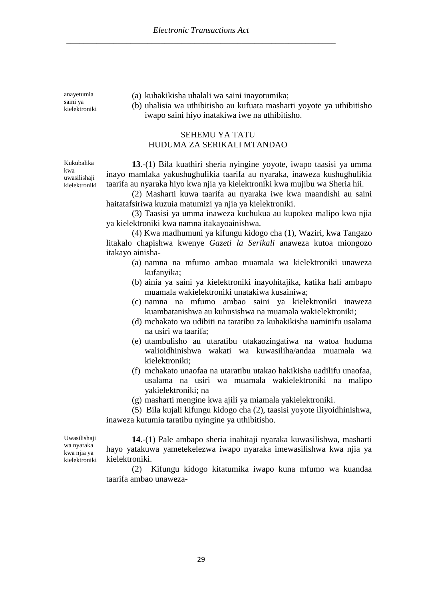anayetumia saini ya kielektroniki (a) kuhakikisha uhalali wa saini inayotumika;

(b) uhalisia wa uthibitisho au kufuata masharti yoyote ya uthibitisho iwapo saini hiyo inatakiwa iwe na uthibitisho.

# SEHEMU YA TATU HUDUMA ZA SERIKALI MTANDAO

Kukubalika kwa uwasilishaji kielektroniki

**13**.-(1) Bila kuathiri sheria nyingine yoyote, iwapo taasisi ya umma inayo mamlaka yakushughulikia taarifa au nyaraka, inaweza kushughulikia taarifa au nyaraka hiyo kwa njia ya kielektroniki kwa mujibu wa Sheria hii.

(2) Masharti kuwa taarifa au nyaraka iwe kwa maandishi au saini haitatafsiriwa kuzuia matumizi ya njia ya kielektroniki.

(3) Taasisi ya umma inaweza kuchukua au kupokea malipo kwa njia ya kielektroniki kwa namna itakayoainishwa.

(4) Kwa madhumuni ya kifungu kidogo cha (1), Waziri, kwa Tangazo litakalo chapishwa kwenye *Gazeti la Serikali* anaweza kutoa miongozo itakayo ainisha-

- (a) namna na mfumo ambao muamala wa kielektroniki unaweza kufanyika;
- (b) ainia ya saini ya kielektroniki inayohitajika, katika hali ambapo muamala wakielektroniki unatakiwa kusainiwa;
- (c) namna na mfumo ambao saini ya kielektroniki inaweza kuambatanishwa au kuhusishwa na muamala wakielektroniki;
- (d) mchakato wa udibiti na taratibu za kuhakikisha uaminifu usalama na usiri wa taarifa;
- (e) utambulisho au utaratibu utakaozingatiwa na watoa huduma walioidhinishwa wakati wa kuwasiliha/andaa muamala wa kielektroniki;
- (f) mchakato unaofaa na utaratibu utakao hakikisha uadilifu unaofaa, usalama na usiri wa muamala wakielektroniki na malipo yakielektroniki; na
- (g) masharti mengine kwa ajili ya miamala yakielektroniki.

(5) Bila kujali kifungu kidogo cha (2), taasisi yoyote iliyoidhinishwa, inaweza kutumia taratibu nyingine ya uthibitisho.

Uwasilishaji wa nyaraka kwa njia ya kielektroniki

**14**.-(1) Pale ambapo sheria inahitaji nyaraka kuwasilishwa, masharti hayo yatakuwa yametekelezwa iwapo nyaraka imewasilishwa kwa njia ya kielektroniki.

(2) Kifungu kidogo kitatumika iwapo kuna mfumo wa kuandaa taarifa ambao unaweza-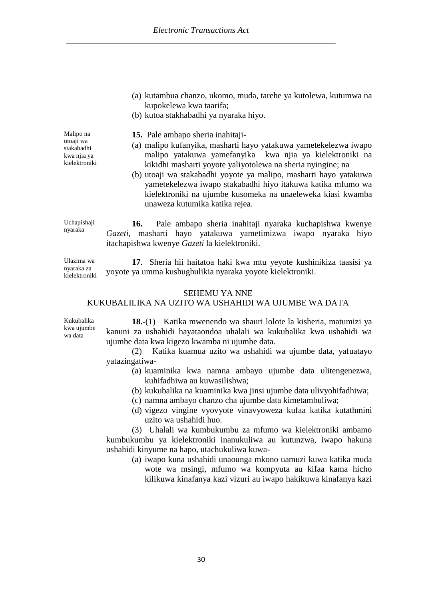- (a) kutambua chanzo, ukomo, muda, tarehe ya kutolewa, kutumwa na kupokelewa kwa taarifa;
- (b) kutoa stakhabadhi ya nyaraka hiyo.

Malipo na utoaji wa stakabadhi kwa njia ya kielektroniki

- **15.** Pale ambapo sheria inahitaji-
- (a) malipo kufanyika, masharti hayo yatakuwa yametekelezwa iwapo malipo yatakuwa yamefanyika kwa njia ya kielektroniki na kikidhi masharti yoyote yaliyotolewa na sheria nyingine; na
- (b) utoaji wa stakabadhi yoyote ya malipo, masharti hayo yatakuwa yametekelezwa iwapo stakabadhi hiyo itakuwa katika mfumo wa kielektroniki na ujumbe kusomeka na unaeleweka kiasi kwamba unaweza kutumika katika rejea.

Uchapishaji **16.** Pale ambapo sheria inahitaji nyaraka kuchapishwa kwenye *Gazeti*, masharti hayo yatakuwa yametimizwa iwapo nyaraka hiyo itachapishwa kwenye *Gazeti* la kielektroniki.

Ulazima wa nyaraka za kielektroniki

nyaraka

**17**. Sheria hii haitatoa haki kwa mtu yeyote kushinikiza taasisi ya yoyote ya umma kushughulikia nyaraka yoyote kielektroniki.

#### SEHEMU YA NNE

# KUKUBALILIKA NA UZITO WA USHAHIDI WA UJUMBE WA DATA

Kukubalika kwa ujumbe wa data

**18.**-(1) Katika mwenendo wa shauri lolote la kisheria, matumizi ya kanuni za ushahidi hayataondoa uhalali wa kukubalika kwa ushahidi wa ujumbe data kwa kigezo kwamba ni ujumbe data.

(2) Katika kuamua uzito wa ushahidi wa ujumbe data, yafuatayo yatazingatiwa-

- (a) kuaminika kwa namna ambayo ujumbe data ulitengenezwa, kuhifadhiwa au kuwasilishwa;
- (b) kukubalika na kuaminika kwa jinsi ujumbe data ulivyohifadhiwa;
- (c) namna ambayo chanzo cha ujumbe data kimetambuliwa;
- (d) vigezo vingine vyovyote vinavyoweza kufaa katika kutathmini uzito wa ushahidi huo.

(3) Uhalali wa kumbukumbu za mfumo wa kielektroniki ambamo kumbukumbu ya kielektroniki inanukuliwa au kutunzwa, iwapo hakuna ushahidi kinyume na hapo, utachukuliwa kuwa-

(a) iwapo kuna ushahidi unaounga mkono uamuzi kuwa katika muda wote wa msingi, mfumo wa kompyuta au kifaa kama hicho kilikuwa kinafanya kazi vizuri au iwapo hakikuwa kinafanya kazi

30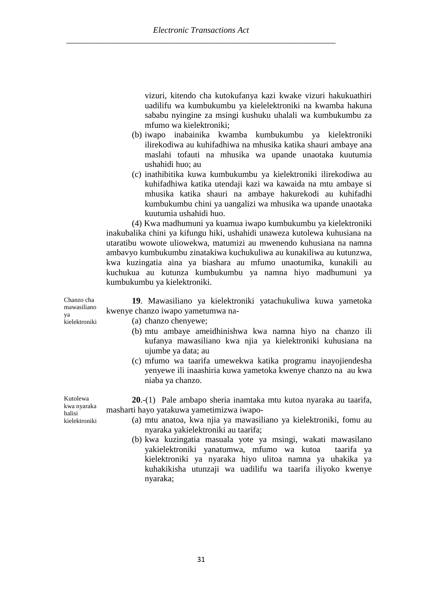vizuri, kitendo cha kutokufanya kazi kwake vizuri hakukuathiri uadilifu wa kumbukumbu ya kielelektroniki na kwamba hakuna sababu nyingine za msingi kushuku uhalali wa kumbukumbu za mfumo wa kielektroniki;

- (b) iwapo inabainika kwamba kumbukumbu ya kielektroniki ilirekodiwa au kuhifadhiwa na mhusika katika shauri ambaye ana maslahi tofauti na mhusika wa upande unaotaka kuutumia ushahidi huo; au
- (c) inathibitika kuwa kumbukumbu ya kielektroniki ilirekodiwa au kuhifadhiwa katika utendaji kazi wa kawaida na mtu ambaye si mhusika katika shauri na ambaye hakurekodi au kuhifadhi kumbukumbu chini ya uangalizi wa mhusika wa upande unaotaka kuutumia ushahidi huo.

(4) Kwa madhumuni ya kuamua iwapo kumbukumbu ya kielektroniki inakubalika chini ya kifungu hiki, ushahidi unaweza kutolewa kuhusiana na utaratibu wowote uliowekwa, matumizi au mwenendo kuhusiana na namna ambavyo kumbukumbu zinatakiwa kuchukuliwa au kunakiliwa au kutunzwa, kwa kuzingatia aina ya biashara au mfumo unaotumika, kunakili au kuchukua au kutunza kumbukumbu ya namna hiyo madhumuni ya kumbukumbu ya kielektroniki.

**19**. Mawasiliano ya kielektroniki yatachukuliwa kuwa yametoka kwenye chanzo iwapo yametumwa na-

- (a) chanzo chenyewe;
	- (b) mtu ambaye ameidhinishwa kwa namna hiyo na chanzo ili kufanya mawasiliano kwa njia ya kielektroniki kuhusiana na ujumbe ya data; au
	- (c) mfumo wa taarifa umewekwa katika programu inayojiendesha yenyewe ili inaashiria kuwa yametoka kwenye chanzo na au kwa niaba ya chanzo.

**20**.-(1) Pale ambapo sheria inamtaka mtu kutoa nyaraka au taarifa, masharti hayo yatakuwa yametimizwa iwapo-

- (a) mtu anatoa, kwa njia ya mawasiliano ya kielektroniki, fomu au nyaraka yakielektroniki au taarifa;
- (b) kwa kuzingatia masuala yote ya msingi, wakati mawasilano yakielektroniki yanatumwa, mfumo wa kutoa taarifa ya kielektroniki ya nyaraka hiyo ulitoa namna ya uhakika ya kuhakikisha utunzaji wa uadilifu wa taarifa iliyoko kwenye nyaraka;

Kutolewa kwa nyaraka halisi

kielektroniki

Chanzo cha mawasiliano

kielektroniki

ya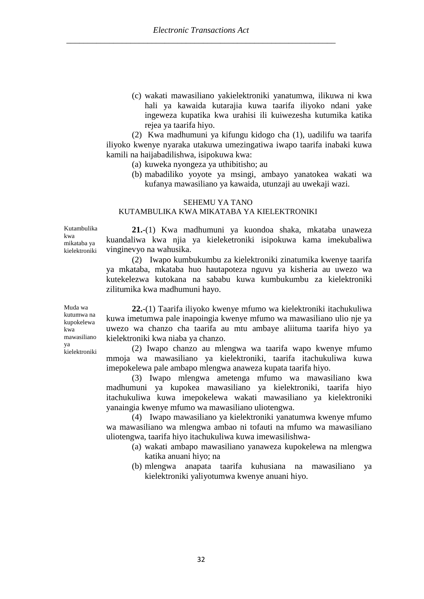(c) wakati mawasiliano yakielektroniki yanatumwa, ilikuwa ni kwa hali ya kawaida kutarajia kuwa taarifa iliyoko ndani yake ingeweza kupatika kwa urahisi ili kuiwezesha kutumika katika rejea ya taarifa hiyo.

(2) Kwa madhumuni ya kifungu kidogo cha (1), uadilifu wa taarifa iliyoko kwenye nyaraka utakuwa umezingatiwa iwapo taarifa inabaki kuwa kamili na haijabadilishwa, isipokuwa kwa:

- (a) kuweka nyongeza ya uthibitisho; au
- (b) mabadiliko yoyote ya msingi, ambayo yanatokea wakati wa kufanya mawasiliano ya kawaida, utunzaji au uwekaji wazi.

#### SEHEMU YA TANO

#### KUTAMBULIKA KWA MIKATABA YA KIELEKTRONIKI

Kutambulika kwa mikataba ya kielektroniki

**21.**-(1) Kwa madhumuni ya kuondoa shaka, mkataba unaweza kuandaliwa kwa njia ya kieleketroniki isipokuwa kama imekubaliwa vinginevyo na wahusika.

(2) Iwapo kumbukumbu za kielektroniki zinatumika kwenye taarifa ya mkataba, mkataba huo hautapoteza nguvu ya kisheria au uwezo wa kutekelezwa kutokana na sababu kuwa kumbukumbu za kielektroniki zilitumika kwa madhumuni hayo.

Muda wa kutumwa na kupokelewa kwa mawasiliano ya kielektroniki

**22.**-(1) Taarifa iliyoko kwenye mfumo wa kielektroniki itachukuliwa kuwa imetumwa pale inapoingia kwenye mfumo wa mawasiliano ulio nje ya uwezo wa chanzo cha taarifa au mtu ambaye aliituma taarifa hiyo ya kielektroniki kwa niaba ya chanzo.

(2) Iwapo chanzo au mlengwa wa taarifa wapo kwenye mfumo mmoja wa mawasiliano ya kielektroniki, taarifa itachukuliwa kuwa imepokelewa pale ambapo mlengwa anaweza kupata taarifa hiyo.

(3) Iwapo mlengwa ametenga mfumo wa mawasiliano kwa madhumuni ya kupokea mawasiliano ya kielektroniki, taarifa hiyo itachukuliwa kuwa imepokelewa wakati mawasiliano ya kielektroniki yanaingia kwenye mfumo wa mawasiliano uliotengwa.

(4) Iwapo mawasiliano ya kielektroniki yanatumwa kwenye mfumo wa mawasiliano wa mlengwa ambao ni tofauti na mfumo wa mawasiliano uliotengwa, taarifa hiyo itachukuliwa kuwa imewasilishwa-

- (a) wakati ambapo mawasiliano yanaweza kupokelewa na mlengwa katika anuani hiyo; na
- (b) mlengwa anapata taarifa kuhusiana na mawasiliano ya kielektroniki yaliyotumwa kwenye anuani hiyo.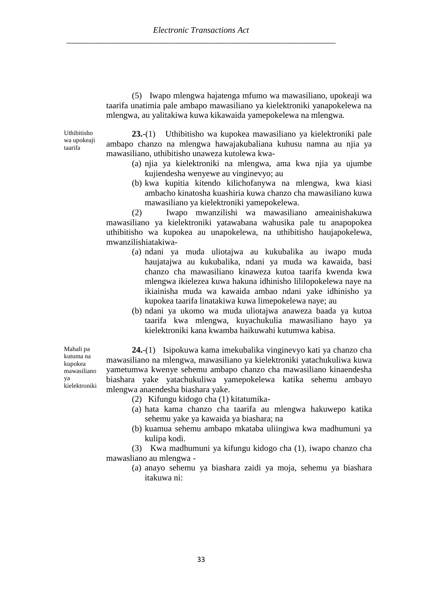(5) Iwapo mlengwa hajatenga mfumo wa mawasiliano, upokeaji wa taarifa unatimia pale ambapo mawasiliano ya kielektroniki yanapokelewa na mlengwa, au yalitakiwa kuwa kikawaida yamepokelewa na mlengwa.

Uthibitisho wa upokeaji taarifa

**23.**-(1) Uthibitisho wa kupokea mawasiliano ya kielektroniki pale ambapo chanzo na mlengwa hawajakubaliana kuhusu namna au njia ya mawasiliano, uthibitisho unaweza kutolewa kwa-

- (a) njia ya kielektroniki na mlengwa, ama kwa njia ya ujumbe kujiendesha wenyewe au vinginevyo; au
- (b) kwa kupitia kitendo kilichofanywa na mlengwa, kwa kiasi ambacho kinatosha kuashiria kuwa chanzo cha mawasiliano kuwa mawasiliano ya kielektroniki yamepokelewa.

(2) Iwapo mwanzilishi wa mawasiliano ameainishakuwa mawasiliano ya kielektroniki yatawabana wahusika pale tu anapopokea uthibitisho wa kupokea au unapokelewa, na uthibitisho haujapokelewa, mwanzilishiatakiwa-

- (a) ndani ya muda uliotajwa au kukubalika au iwapo muda haujatajwa au kukubalika, ndani ya muda wa kawaida, basi chanzo cha mawasiliano kinaweza kutoa taarifa kwenda kwa mlengwa ikielezea kuwa hakuna idhinisho lililopokelewa naye na ikiainisha muda wa kawaida ambao ndani yake idhinisho ya kupokea taarifa linatakiwa kuwa limepokelewa naye; au
- (b) ndani ya ukomo wa muda uliotajwa anaweza baada ya kutoa taarifa kwa mlengwa, kuyachukulia mawasiliano hayo ya kielektroniki kana kwamba haikuwahi kutumwa kabisa.

**24.**-(1) Isipokuwa kama imekubalika vinginevyo kati ya chanzo cha mawasiliano na mlengwa, mawasiliano ya kielektroniki yatachukuliwa kuwa yametumwa kwenye sehemu ambapo chanzo cha mawasiliano kinaendesha biashara yake yatachukuliwa yamepokelewa katika sehemu ambayo mlengwa anaendesha biashara yake.

- (2) Kifungu kidogo cha (1) kitatumika-
- (a) hata kama chanzo cha taarifa au mlengwa hakuwepo katika sehemu yake ya kawaida ya biashara; na
- (b) kuamua sehemu ambapo mkataba uliingiwa kwa madhumuni ya kulipa kodi.

(3) Kwa madhumuni ya kifungu kidogo cha (1), iwapo chanzo cha mawasliano au mlengwa -

(a) anayo sehemu ya biashara zaidi ya moja, sehemu ya biashara itakuwa ni:

Mahali pa kutuma na kupokea mawasiliano ya kielektroniki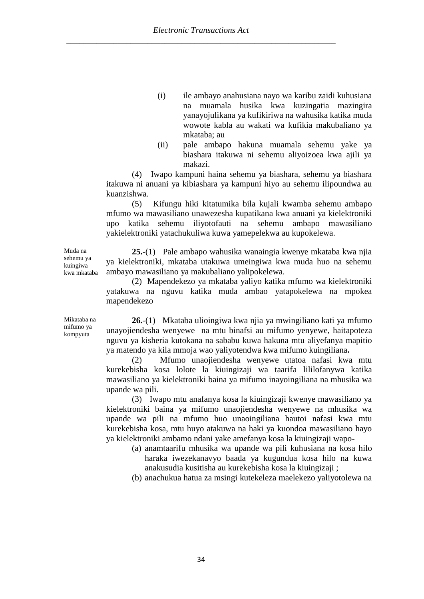- (i) ile ambayo anahusiana nayo wa karibu zaidi kuhusiana na muamala husika kwa kuzingatia mazingira yanayojulikana ya kufikiriwa na wahusika katika muda wowote kabla au wakati wa kufikia makubaliano ya mkataba; au
- (ii) pale ambapo hakuna muamala sehemu yake ya biashara itakuwa ni sehemu aliyoizoea kwa ajili ya makazi.

(4) Iwapo kampuni haina sehemu ya biashara, sehemu ya biashara itakuwa ni anuani ya kibiashara ya kampuni hiyo au sehemu ilipoundwa au kuanzishwa.

(5) Kifungu hiki kitatumika bila kujali kwamba sehemu ambapo mfumo wa mawasiliano unawezesha kupatikana kwa anuani ya kielektroniki upo katika sehemu iliyotofauti na sehemu ambapo mawasiliano yakielektroniki yatachukuliwa kuwa yamepelekwa au kupokelewa.

**25.**-(1) Pale ambapo wahusika wanaingia kwenye mkataba kwa njia ya kielektroniki, mkataba utakuwa umeingiwa kwa muda huo na sehemu ambayo mawasiliano ya makubaliano yalipokelewa.

(2) Mapendekezo ya mkataba yaliyo katika mfumo wa kielektroniki yatakuwa na nguvu katika muda ambao yatapokelewa na mpokea mapendekezo

**26.**-(1) Mkataba ulioingiwa kwa njia ya mwingiliano kati ya mfumo unayojiendesha wenyewe na mtu binafsi au mifumo yenyewe, haitapoteza nguvu ya kisheria kutokana na sababu kuwa hakuna mtu aliyefanya mapitio ya matendo ya kila mmoja wao yaliyotendwa kwa mifumo kuingiliana**.** 

(2) Mfumo unaojiendesha wenyewe utatoa nafasi kwa mtu kurekebisha kosa lolote la kiuingizaji wa taarifa lililofanywa katika mawasiliano ya kielektroniki baina ya mifumo inayoingiliana na mhusika wa upande wa pili.

(3) Iwapo mtu anafanya kosa la kiuingizaji kwenye mawasiliano ya kielektroniki baina ya mifumo unaojiendesha wenyewe na mhusika wa upande wa pili na mfumo huo unaoingiliana hautoi nafasi kwa mtu kurekebisha kosa, mtu huyo atakuwa na haki ya kuondoa mawasiliano hayo ya kielektroniki ambamo ndani yake amefanya kosa la kiuingizaji wapo-

(a) anamtaarifu mhusika wa upande wa pili kuhusiana na kosa hilo haraka iwezekanavyo baada ya kugundua kosa hilo na kuwa anakusudia kusitisha au kurekebisha kosa la kiuingizaji ;

(b) anachukua hatua za msingi kutekeleza maelekezo yaliyotolewa na

Muda na sehemu ya kuingiwa kwa mkataba

Mikataba na mifumo ya kompyuta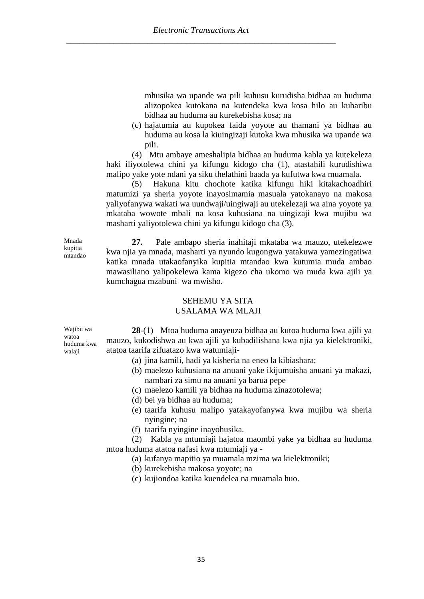mhusika wa upande wa pili kuhusu kurudisha bidhaa au huduma alizopokea kutokana na kutendeka kwa kosa hilo au kuharibu bidhaa au huduma au kurekebisha kosa; na

(c) hajatumia au kupokea faida yoyote au thamani ya bidhaa au huduma au kosa la kiuingizaji kutoka kwa mhusika wa upande wa pili.

(4) Mtu ambaye ameshalipia bidhaa au huduma kabla ya kutekeleza haki iliyotolewa chini ya kifungu kidogo cha (1), atastahili kurudishiwa malipo yake yote ndani ya siku thelathini baada ya kufutwa kwa muamala.

(5) Hakuna kitu chochote katika kifungu hiki kitakachoadhiri matumizi ya sheria yoyote inayosimamia masuala yatokanayo na makosa yaliyofanywa wakati wa uundwaji/uingiwaji au utekelezaji wa aina yoyote ya mkataba wowote mbali na kosa kuhusiana na uingizaji kwa mujibu wa masharti yaliyotolewa chini ya kifungu kidogo cha (3).

Mnada kupitia mtandao

**27.** Pale ambapo sheria inahitaji mkataba wa mauzo, utekelezwe kwa njia ya mnada, masharti ya nyundo kugongwa yatakuwa yamezingatiwa katika mnada utakaofanyika kupitia mtandao kwa kutumia muda ambao mawasiliano yalipokelewa kama kigezo cha ukomo wa muda kwa ajili ya kumchagua mzabuni wa mwisho.

#### SEHEMU YA SITA USALAMA WA MLAJI

Wajibu wa watoa huduma kwa walaji

**28**-(1) Mtoa huduma anayeuza bidhaa au kutoa huduma kwa ajili ya mauzo, kukodishwa au kwa ajili ya kubadilishana kwa njia ya kielektroniki, atatoa taarifa zifuatazo kwa watumiaji-

- (a) jina kamili, hadi ya kisheria na eneo la kibiashara;
- (b) maelezo kuhusiana na anuani yake ikijumuisha anuani ya makazi, nambari za simu na anuani ya barua pepe
- (c) maelezo kamili ya bidhaa na huduma zinazotolewa;
- (d) bei ya bidhaa au huduma;
- (e) taarifa kuhusu malipo yatakayofanywa kwa mujibu wa sheria nyingine; na
- (f) taarifa nyingine inayohusika.

(2) Kabla ya mtumiaji hajatoa maombi yake ya bidhaa au huduma mtoa huduma atatoa nafasi kwa mtumiaji ya -

- (a) kufanya mapitio ya muamala mzima wa kielektroniki;
- (b) kurekebisha makosa yoyote; na
- (c) kujiondoa katika kuendelea na muamala huo.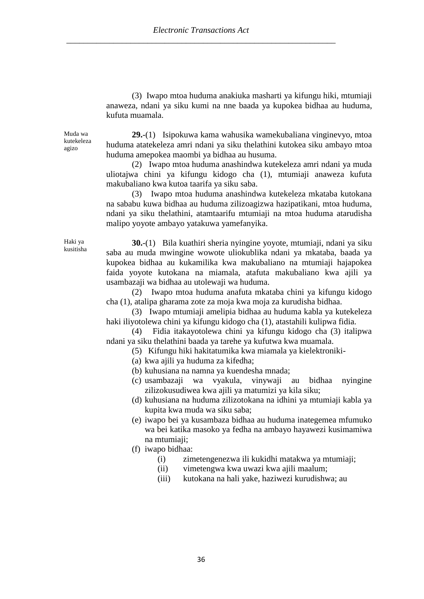(3) Iwapo mtoa huduma anakiuka masharti ya kifungu hiki, mtumiaji anaweza, ndani ya siku kumi na nne baada ya kupokea bidhaa au huduma, kufuta muamala.

Muda wa kutekeleza agizo

**29.**-(1) Isipokuwa kama wahusika wamekubaliana vinginevyo, mtoa huduma atatekeleza amri ndani ya siku thelathini kutokea siku ambayo mtoa huduma amepokea maombi ya bidhaa au husuma.

(2) Iwapo mtoa huduma anashindwa kutekeleza amri ndani ya muda uliotajwa chini ya kifungu kidogo cha (1), mtumiaji anaweza kufuta makubaliano kwa kutoa taarifa ya siku saba.

(3) Iwapo mtoa huduma anashindwa kutekeleza mkataba kutokana na sababu kuwa bidhaa au huduma zilizoagizwa hazipatikani, mtoa huduma, ndani ya siku thelathini, atamtaarifu mtumiaji na mtoa huduma atarudisha malipo yoyote ambayo yatakuwa yamefanyika.

Haki ya kusitisha

**30.**-(1) Bila kuathiri sheria nyingine yoyote, mtumiaji, ndani ya siku saba au muda mwingine wowote uliokublika ndani ya mkataba, baada ya kupokea bidhaa au kukamilika kwa makubaliano na mtumiaji hajapokea faida yoyote kutokana na miamala, atafuta makubaliano kwa ajili ya usambazaji wa bidhaa au utolewaji wa huduma.

(2) Iwapo mtoa huduma anafuta mkataba chini ya kifungu kidogo cha (1), atalipa gharama zote za moja kwa moja za kurudisha bidhaa.

(3) Iwapo mtumiaji amelipia bidhaa au huduma kabla ya kutekeleza haki iliyotolewa chini ya kifungu kidogo cha (1), atastahili kulipwa fidia.

(4) Fidia itakayotolewa chini ya kifungu kidogo cha (3) italipwa ndani ya siku thelathini baada ya tarehe ya kufutwa kwa muamala.

(5) Kifungu hiki hakitatumika kwa miamala ya kielektroniki-

- (a) kwa ajili ya huduma za kifedha;
- (b) kuhusiana na namna ya kuendesha mnada;
- (c) usambazaji wa vyakula, vinywaji au bidhaa nyingine zilizokusudiwea kwa ajili ya matumizi ya kila siku;
- (d) kuhusiana na huduma zilizotokana na idhini ya mtumiaji kabla ya kupita kwa muda wa siku saba;
- (e) iwapo bei ya kusambaza bidhaa au huduma inategemea mfumuko wa bei katika masoko ya fedha na ambayo hayawezi kusimamiwa na mtumiaji;
- (f) iwapo bidhaa:
	- (i) zimetengenezwa ili kukidhi matakwa ya mtumiaji;
	- (ii) vimetengwa kwa uwazi kwa ajili maalum;
	- (iii) kutokana na hali yake, haziwezi kurudishwa; au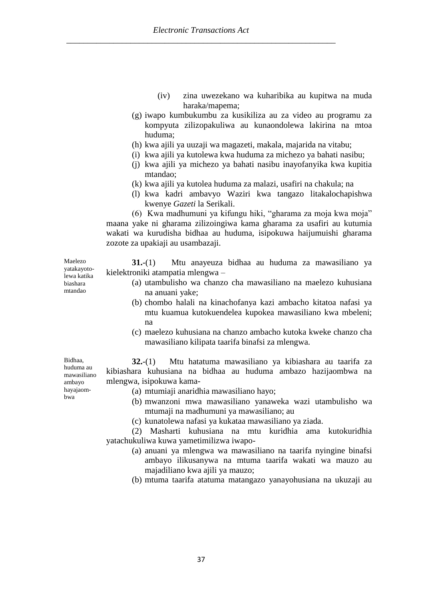- (iv) zina uwezekano wa kuharibika au kupitwa na muda haraka/mapema;
- (g) iwapo kumbukumbu za kusikiliza au za video au programu za kompyuta zilizopakuliwa au kunaondolewa lakirina na mtoa huduma;
- (h) kwa ajili ya uuzaji wa magazeti, makala, majarida na vitabu;
- (i) kwa ajili ya kutolewa kwa huduma za michezo ya bahati nasibu;
- (j) kwa ajili ya michezo ya bahati nasibu inayofanyika kwa kupitia mtandao;
- (k) kwa ajili ya kutolea huduma za malazi, usafiri na chakula; na
- (l) kwa kadri ambavyo Waziri kwa tangazo litakalochapishwa kwenye *Gazeti* la Serikali.

(6) Kwa madhumuni ya kifungu hiki, "gharama za moja kwa moja" maana yake ni gharama zilizoingiwa kama gharama za usafiri au kutumia wakati wa kurudisha bidhaa au huduma, isipokuwa haijumuishi gharama zozote za upakiaji au usambazaji.

**31.**-(1) Mtu anayeuza bidhaa au huduma za mawasiliano ya kielektroniki atampatia mlengwa –

- (a) utambulisho wa chanzo cha mawasiliano na maelezo kuhusiana na anuani yake;
- (b) chombo halali na kinachofanya kazi ambacho kitatoa nafasi ya mtu kuamua kutokuendelea kupokea mawasiliano kwa mbeleni; na
- (c) maelezo kuhusiana na chanzo ambacho kutoka kweke chanzo cha mawasiliano kilipata taarifa binafsi za mlengwa.

**32.**-(1) Mtu hatatuma mawasiliano ya kibiashara au taarifa za kibiashara kuhusiana na bidhaa au huduma ambazo hazijaombwa na mlengwa, isipokuwa kama-

- (a) mtumiaji anaridhia mawasiliano hayo;
- (b) mwanzoni mwa mawasiliano yanaweka wazi utambulisho wa mtumaji na madhumuni ya mawasiliano; au
- (c) kunatolewa nafasi ya kukataa mawasiliano ya ziada.

(2) Masharti kuhusiana na mtu kuridhia ama kutokuridhia yatachukuliwa kuwa yametimilizwa iwapo-

- (a) anuani ya mlengwa wa mawasiliano na taarifa nyingine binafsi ambayo ilikusanywa na mtuma taarifa wakati wa mauzo au majadiliano kwa ajili ya mauzo;
- (b) mtuma taarifa atatuma matangazo yanayohusiana na ukuzaji au

Maelezo yatakayotolewa katika biashara mtandao

Bidhaa, huduma au mawasiliano ambayo hayajaombwa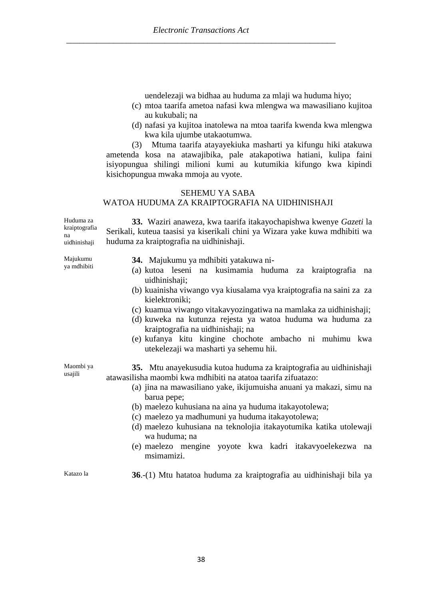uendelezaji wa bidhaa au huduma za mlaji wa huduma hiyo;

- (c) mtoa taarifa ametoa nafasi kwa mlengwa wa mawasiliano kujitoa au kukubali; na
- (d) nafasi ya kujitoa inatolewa na mtoa taarifa kwenda kwa mlengwa kwa kila ujumbe utakaotumwa.

(3) Mtuma taarifa atayayekiuka masharti ya kifungu hiki atakuwa ametenda kosa na atawajibika, pale atakapotiwa hatiani, kulipa faini isiyopungua shilingi milioni kumi au kutumikia kifungo kwa kipindi kisichopungua mwaka mmoja au vyote.

## SEHEMU YA SABA WATOA HUDUMA ZA KRAIPTOGRAFIA NA UIDHINISHAJI

Huduma za kraiptografia na uidhinishaji

**33.** Waziri anaweza, kwa taarifa itakayochapishwa kwenye *Gazeti* la Serikali, kuteua taasisi ya kiserikali chini ya Wizara yake kuwa mdhibiti wa huduma za kraiptografia na uidhinishaji.

Majukumu ya mdhibiti

- **34.** Majukumu ya mdhibiti yatakuwa ni-
- (a) kutoa leseni na kusimamia huduma za kraiptografia na uidhinishaii:
- (b) kuainisha viwango vya kiusalama vya kraiptografia na saini za za kielektroniki;
- (c) kuamua viwango vitakavyozingatiwa na mamlaka za uidhinishaji;
- (d) kuweka na kutunza rejesta ya watoa huduma wa huduma za kraiptografia na uidhinishaji; na
- (e) kufanya kitu kingine chochote ambacho ni muhimu kwa utekelezaji wa masharti ya sehemu hii.

Maombi ya usajili

**35.** Mtu anayekusudia kutoa huduma za kraiptografia au uidhinishaji atawasilisha maombi kwa mdhibiti na atatoa taarifa zifuatazo:

- (a) jina na mawasiliano yake, ikijumuisha anuani ya makazi, simu na barua pepe;
- (b) maelezo kuhusiana na aina ya huduma itakayotolewa;
- (c) maelezo ya madhumuni ya huduma itakayotolewa;
- (d) maelezo kuhusiana na teknolojia itakayotumika katika utolewaji wa huduma; na
- (e) maelezo mengine yoyote kwa kadri itakavyoelekezwa na msimamizi.

Katazo la **36**.-(1) Mtu hatatoa huduma za kraiptografia au uidhinishaji bila ya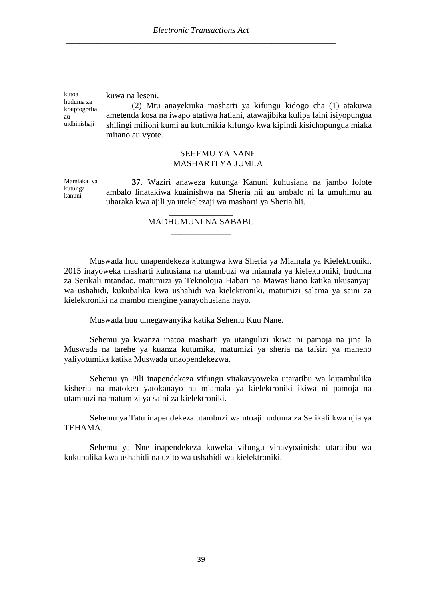kutoa huduma za kraiptografia au uidhinishaii

kuwa na leseni.

(2) Mtu anayekiuka masharti ya kifungu kidogo cha (1) atakuwa ametenda kosa na iwapo atatiwa hatiani, atawajibika kulipa faini isiyopungua shilingi milioni kumi au kutumikia kifungo kwa kipindi kisichopungua miaka mitano au vyote.

### SEHEMU YA NANE MASHARTI YA JUMLA

Mamlaka ya kutunga kanuni **37**. Waziri anaweza kutunga Kanuni kuhusiana na jambo lolote ambalo linatakiwa kuainishwa na Sheria hii au ambalo ni la umuhimu au uharaka kwa ajili ya utekelezaji wa masharti ya Sheria hii.

### \_\_\_\_\_\_\_\_\_\_\_\_\_\_\_ MADHUMUNI NA SABABU \_\_\_\_\_\_\_\_\_\_\_\_\_\_

Muswada huu unapendekeza kutungwa kwa Sheria ya Miamala ya Kielektroniki, 2015 inayoweka masharti kuhusiana na utambuzi wa miamala ya kielektroniki, huduma za Serikali mtandao, matumizi ya Teknolojia Habari na Mawasiliano katika ukusanyaji wa ushahidi, kukubalika kwa ushahidi wa kielektroniki, matumizi salama ya saini za kielektroniki na mambo mengine yanayohusiana nayo.

Muswada huu umegawanyika katika Sehemu Kuu Nane.

Sehemu ya kwanza inatoa masharti ya utangulizi ikiwa ni pamoja na jina la Muswada na tarehe ya kuanza kutumika, matumizi ya sheria na tafsiri ya maneno yaliyotumika katika Muswada unaopendekezwa.

Sehemu ya Pili inapendekeza vifungu vitakavyoweka utaratibu wa kutambulika kisheria na matokeo yatokanayo na miamala ya kielektroniki ikiwa ni pamoja na utambuzi na matumizi ya saini za kielektroniki.

Sehemu ya Tatu inapendekeza utambuzi wa utoaji huduma za Serikali kwa njia ya **TEHAMA** 

Sehemu ya Nne inapendekeza kuweka vifungu vinavyoainisha utaratibu wa kukubalika kwa ushahidi na uzito wa ushahidi wa kielektroniki.